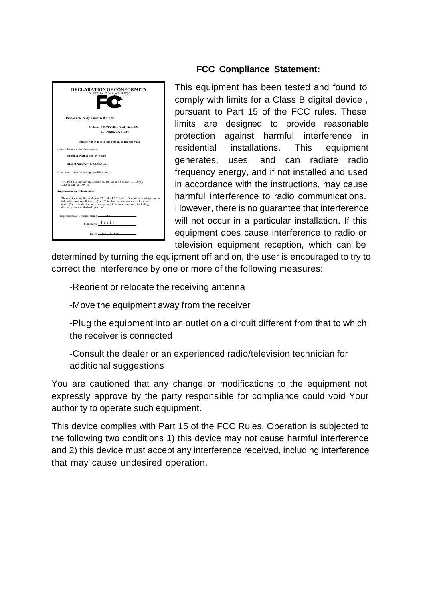

#### **FCC Compliance Statement:**

This equipment has been tested and found to comply with limits for a Class B digital device , pursuant to Part 15 of the FCC rules. These limits are designed to provide reasonable protection against harmful interference in residential installations. This equipment generates, uses, and can radiate radio frequency energy, and if not installed and used in accordance with the instructions, may cause harmful interference to radio communications. However, there is no guarantee that interference will not occur in a particular installation. If this equipment does cause interference to radio or television equipment reception, which can be

determined by turning the equipment off and on, the user is encouraged to try to correct the interference by one or more of the following measures:

-Reorient or relocate the receiving antenna

-Move the equipment away from the receiver

-Plug the equipment into an outlet on a circuit different from that to which the receiver is connected

-Consult the dealer or an experienced radio/television technician for additional suggestions

You are cautioned that any change or modifications to the equipment not expressly approve by the party responsible for compliance could void Your authority to operate such equipment.

This device complies with Part 15 of the FCC Rules. Operation is subjected to the following two conditions 1) this device may not cause harmful interference and 2) this device must accept any interference received, including interference that may cause undesired operation.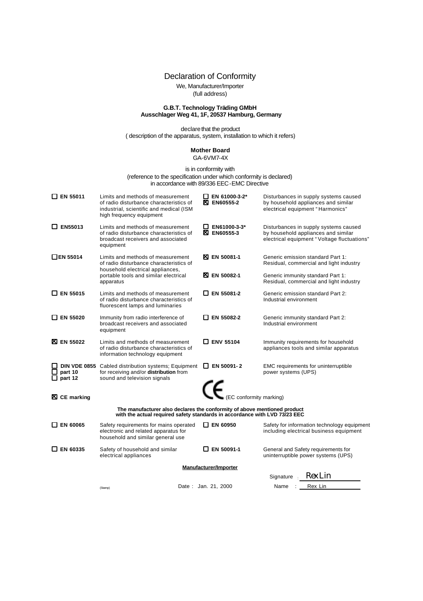Declaration of Conformity

We, Manufacturer/Importer

(full address)

# **G.B.T. Technology Träding GMbH Ausschlager Weg 41, 1F, 20537 Hamburg, Germany**

declare that the product ( description of the apparatus, system, installation to which it refers)

#### **Mother Board** GA-6VM7-4X

#### is in conformity with (reference to the specification under which conformity is declared) in accordance with 89/336 EEC-EMC Directive

| $\square$ EN 55011 | Limits and methods of measurement<br>of radio disturbance characteristics of<br>industrial, scientific and medical (ISM<br>high frequency equipment    |  | EN 61000-3-2*<br><b>区 EN60555-2</b> | Disturbances in supply systems caused<br>by household appliances and similar<br>electrical equipment "Harmonics"            |  |  |  |
|--------------------|--------------------------------------------------------------------------------------------------------------------------------------------------------|--|-------------------------------------|-----------------------------------------------------------------------------------------------------------------------------|--|--|--|
| $\square$ EN55013  | Limits and methods of measurement<br>of radio disturbance characteristics of<br>broadcast receivers and associated<br>equipment                        |  | EN61000-3-3*<br><b>区 EN60555-3</b>  | Disturbances in supply systems caused<br>by household appliances and similar<br>electrical equipment "Voltage fluctuations" |  |  |  |
| □EN 55014          | Limits and methods of measurement<br>of radio disturbance characteristics of<br>household electrical appliances,                                       |  | <b>XI EN 50081-1</b>                | Generic emission standard Part 1:<br>Residual, commercial and light industry                                                |  |  |  |
|                    | portable tools and similar electrical<br>apparatus                                                                                                     |  | <b>XI EN 50082-1</b>                | Generic immunity standard Part 1:<br>Residual, commercial and light industry                                                |  |  |  |
| $\Box$ EN 55015    | Limits and methods of measurement<br>of radio disturbance characteristics of<br>fluorescent lamps and luminaries                                       |  | □ EN 55081-2                        | Generic emission standard Part 2:<br>Industrial environment                                                                 |  |  |  |
| $\square$ EN 55020 | Immunity from radio interference of<br>broadcast receivers and associated<br>equipment                                                                 |  | □ EN 55082-2                        | Generic immunity standard Part 2:<br>Industrial environment                                                                 |  |  |  |
| <b>X</b> EN 55022  | Limits and methods of measurement<br>of radio disturbance characteristics of<br>information technology equipment                                       |  | $\Box$ ENV 55104                    | Immunity requirements for household<br>appliances tools and similar apparatus                                               |  |  |  |
| part 10<br>part 12 | DIN VDE 0855 Cabled distribution systems; Equipment<br>for receiving and/or distribution from<br>sound and television signals                          |  | $\Box$ EN 50091-2                   | EMC requirements for uninterruptible<br>power systems (UPS)                                                                 |  |  |  |
| X CE marking       |                                                                                                                                                        |  | $\epsilon$ (EC conformity marking)  |                                                                                                                             |  |  |  |
|                    | The manufacturer also declares the conformity of above mentioned product<br>with the actual required safety standards in accordance with LVD 73/23 EEC |  |                                     |                                                                                                                             |  |  |  |
| $\square$ EN 60065 | Safety requirements for mains operated<br>electronic and related apparatus for<br>household and similar general use                                    |  | ∐ EN 60950                          | Safety for information technology equipment<br>including electrical business equipment                                      |  |  |  |
| $\square$ EN 60335 | Safety of household and similar<br>electrical appliances                                                                                               |  | $\Box$ EN 50091-1                   | General and Safety requirements for<br>uninterruptible power systems (UPS)                                                  |  |  |  |
|                    | Manufacturer/Importer                                                                                                                                  |  |                                     |                                                                                                                             |  |  |  |
|                    |                                                                                                                                                        |  |                                     | Rex Lin<br><b>Signature</b>                                                                                                 |  |  |  |
|                    | (Stamp)                                                                                                                                                |  | Date: Jan. 21, 2000                 | Rex Lin<br>Name                                                                                                             |  |  |  |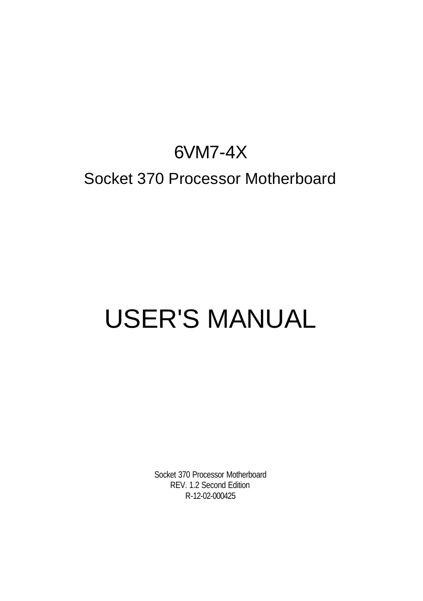# 6VM7-4X Socket 370 Processor Motherboard

# USER'S MANUAL

Socket 370 Processor Motherboard REV. 1.2 Second Edition R-12-02-000425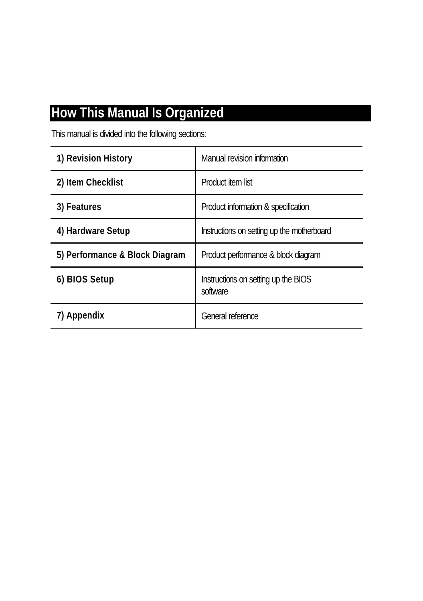# **How This Manual Is Organized**

This manual is divided into the following sections:

| 1) Revision History            | Manual revision information                     |
|--------------------------------|-------------------------------------------------|
| 2) Item Checklist              | Product item list                               |
| 3) Features                    | Product information & specification             |
| 4) Hardware Setup              | Instructions on setting up the motherboard      |
| 5) Performance & Block Diagram | Product performance & block diagram             |
| 6) BIOS Setup                  | Instructions on setting up the BIOS<br>software |
| 7) Appendix                    | General reference                               |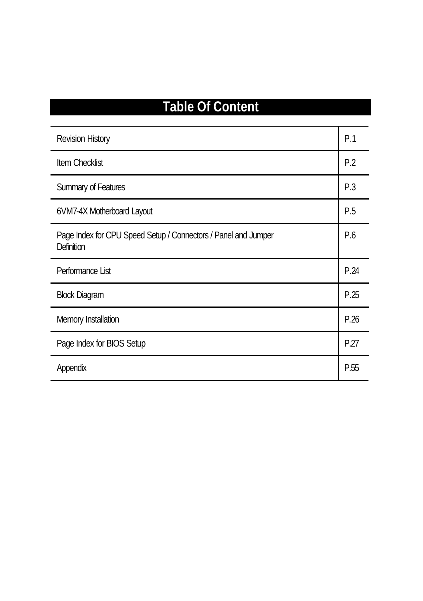# **Table Of Content**

| Revision History                                                             | P.1  |
|------------------------------------------------------------------------------|------|
| Item Checklist                                                               | P.2  |
| Summary of Features                                                          | P.3  |
| 6VM7-4X Motherboard Layout                                                   | P.5  |
| Page Index for CPU Speed Setup / Connectors / Panel and Jumper<br>Definition | P.6  |
| Performance List                                                             | P.24 |
| <b>Block Diagram</b>                                                         | P.25 |
| Memory Installation                                                          | P.26 |
| Page Index for BIOS Setup                                                    | P.27 |
| Appendix                                                                     | P.55 |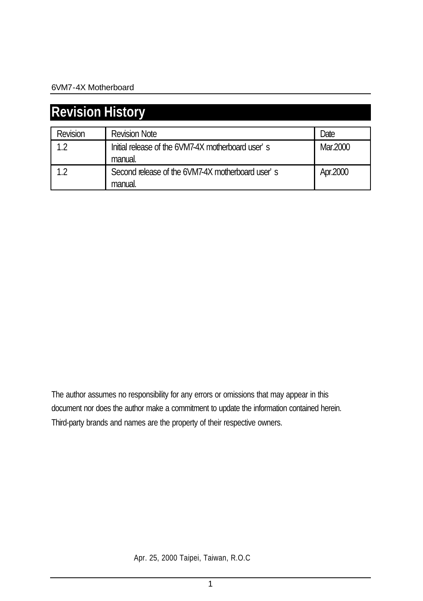| <b>Revision History</b> |                                                              |          |  |  |
|-------------------------|--------------------------------------------------------------|----------|--|--|
| Revision                | <b>Revision Note</b>                                         | Date     |  |  |
| 1 <sub>2</sub>          | Initial release of the 6VM7-4X motherboard user's<br>manual. | Mar.2000 |  |  |
| 12                      | Second release of the 6VM7-4X motherboard user's<br>manual.  | Apr.2000 |  |  |

The author assumes no responsibility for any errors or omissions that may appear in this document nor does the author make a commitment to update the information contained herein. Third-party brands and names are the property of their respective owners.

Apr. 25, 2000 Taipei, Taiwan, R.O.C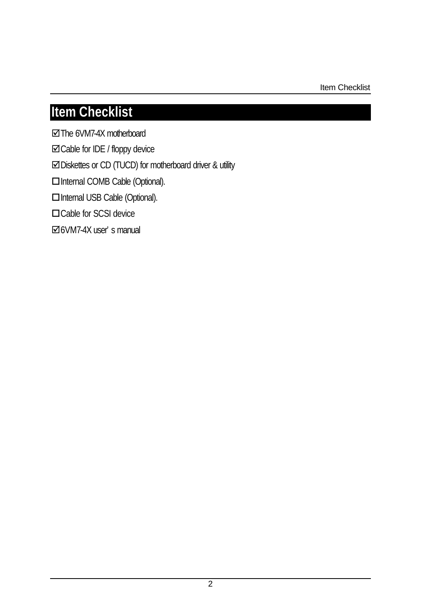Item Checklist

# **Item Checklist**

**☑**The 6VM7-4X motherboard

˛Cable for IDE / floppy device

˛Diskettes or CD (TUCD) for motherboard driver & utility

**OInternal COMB Cable (Optional).** 

**OInternal USB Cable (Optional).** 

□Cable for SCSI device

˛6VM7-4X user's manual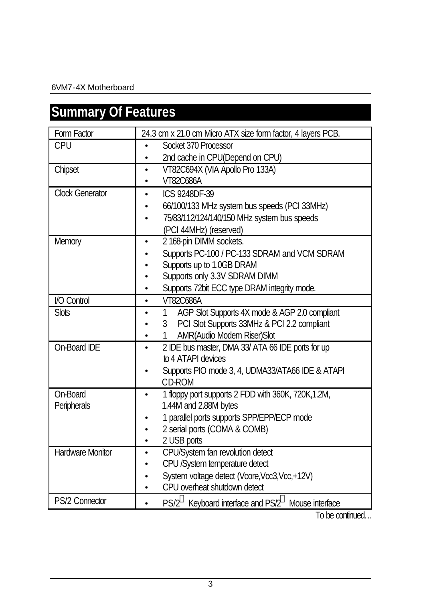# **Summary Of Features**

| Form Factor             | 24.3 cm x 21.0 cm Micro ATX size form factor, 4 layers PCB.                |  |  |  |
|-------------------------|----------------------------------------------------------------------------|--|--|--|
| CPU                     | Socket 370 Processor                                                       |  |  |  |
|                         | 2nd cache in CPU(Depend on CPU)                                            |  |  |  |
| Chipset                 | VT82C694X (VIA Apollo Pro 133A)<br>$\bullet$                               |  |  |  |
|                         | VT82C686A                                                                  |  |  |  |
| <b>Clock Generator</b>  | ICS 9248DF-39                                                              |  |  |  |
|                         | 66/100/133 MHz system bus speeds (PCI 33MHz)                               |  |  |  |
|                         | 75/83/112/124/140/150 MHz system bus speeds                                |  |  |  |
|                         | (PCI 44MHz) (reserved)                                                     |  |  |  |
| Memory                  | 2 168-pin DIMM sockets.                                                    |  |  |  |
|                         | Supports PC-100 / PC-133 SDRAM and VCM SDRAM                               |  |  |  |
|                         | Supports up to 1.0GB DRAM                                                  |  |  |  |
|                         | Supports only 3.3V SDRAM DIMM                                              |  |  |  |
|                         | Supports 72bit ECC type DRAM integrity mode.                               |  |  |  |
| I/O Control             | VT82C686A<br>$\bullet$                                                     |  |  |  |
| <b>Slots</b>            | AGP Slot Supports 4X mode & AGP 2.0 compliant<br>$\mathbf{1}$<br>$\bullet$ |  |  |  |
|                         | PCI Slot Supports 33MHz & PCI 2.2 compliant<br>3                           |  |  |  |
|                         | AMR(Audio Modem Riser)Slot<br>1                                            |  |  |  |
| On-Board IDE            | 2 IDE bus master, DMA 33/ ATA 66 IDE ports for up                          |  |  |  |
|                         | to 4 ATAPI devices                                                         |  |  |  |
|                         | Supports PIO mode 3, 4, UDMA33/ATA66 IDE & ATAPI                           |  |  |  |
|                         | CD-ROM                                                                     |  |  |  |
| On-Board                | 1 floppy port supports 2 FDD with 360K, 720K, 1.2M,                        |  |  |  |
| Peripherals             | 1.44M and 2.88M bytes                                                      |  |  |  |
|                         | 1 parallel ports supports SPP/EPP/ECP mode                                 |  |  |  |
|                         | 2 serial ports (COMA & COMB)                                               |  |  |  |
|                         | 2 USB ports                                                                |  |  |  |
| <b>Hardware Monitor</b> | CPU/System fan revolution detect                                           |  |  |  |
|                         | CPU /System temperature detect                                             |  |  |  |
|                         | System voltage detect (Vcore, Vcc3, Vcc, +12V)                             |  |  |  |
|                         | CPU overheat shutdown detect                                               |  |  |  |
| PS/2 Connector          | PS/2 <sup>®</sup> Keyboard interface and PS/2 <sup>®</sup> Mouse interface |  |  |  |

To be continued…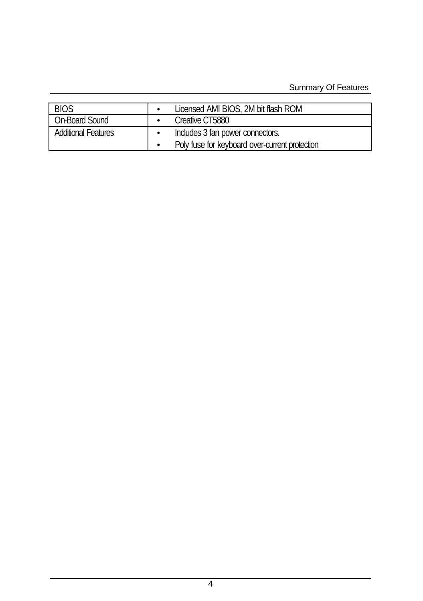#### Summary Of Features

| <b>BIOS</b>           | Licensed AMI BIOS, 2M bit flash ROM            |
|-----------------------|------------------------------------------------|
| <b>On-Board Sound</b> | Creative CT5880                                |
| Additional Features   | Includes 3 fan power connectors.               |
|                       | Poly fuse for keyboard over-current protection |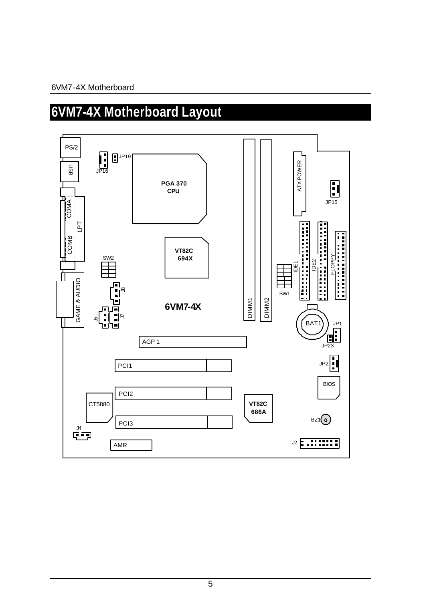# **6VM7-4X Motherboard Layout**

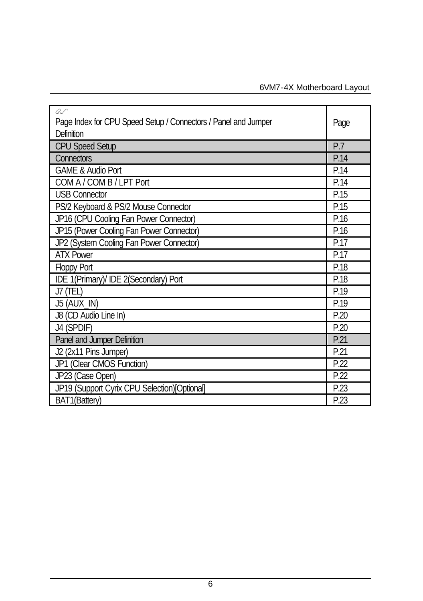| $\overline{A}$<br>Page Index for CPU Speed Setup / Connectors / Panel and Jumper<br>Definition | Page |
|------------------------------------------------------------------------------------------------|------|
| CPU Speed Setup                                                                                | P.7  |
| <b>Connectors</b>                                                                              | P.14 |
| <b>GAME &amp; Audio Port</b>                                                                   | P.14 |
| COM A / COM B / LPT Port                                                                       | P.14 |
| <b>USB Connector</b>                                                                           | P.15 |
| PS/2 Keyboard & PS/2 Mouse Connector                                                           | P.15 |
| JP16 (CPU Cooling Fan Power Connector)                                                         | P.16 |
| JP15 (Power Cooling Fan Power Connector)                                                       | P.16 |
| JP2 (System Cooling Fan Power Connector)                                                       | P.17 |
| <b>ATX Power</b>                                                                               | P.17 |
| <b>Floppy Port</b>                                                                             | P.18 |
| IDE 1(Primary)/ IDE 2(Secondary) Port                                                          | P.18 |
| J7 (TEL)                                                                                       | P.19 |
| J5 (AUX_IN)                                                                                    | P.19 |
| J8 (CD Audio Line In)                                                                          | P.20 |
| J4 (SPDIF)                                                                                     | P.20 |
| Panel and Jumper Definition                                                                    | P.21 |
| J2 (2x11 Pins Jumper)                                                                          | P.21 |
| JP1 (Clear CMOS Function)                                                                      | P.22 |
| JP23 (Case Open)                                                                               | P.22 |
| JP19 (Support Cyrix CPU Selection)[Optional]                                                   | P.23 |
| BAT1(Battery)                                                                                  | P.23 |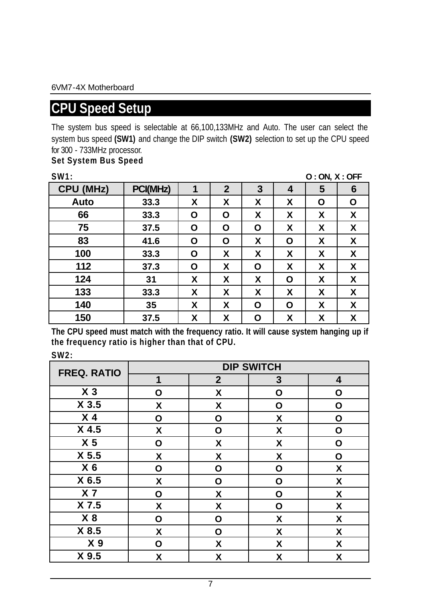# **CPU Speed Setup**

The system bus speed is selectable at 66,100,133MHz and Auto. The user can select the system bus speed **(SW1)** and change the DIP switch **(SW2)** selection to set up the CPU speed for 300 - 733MHz processor.

#### **Set System Bus Speed**

| SW1:      |          |   |              |   |   | O:ON, X:OFF |   |
|-----------|----------|---|--------------|---|---|-------------|---|
| CPU (MHz) | PCI(MHz) | 1 | $\mathbf{2}$ | 3 | 4 | 5           | 6 |
| Auto      | 33.3     | X | X            | x | x | О           | O |
| 66        | 33.3     | Ο | Ο            | x | x | X           | X |
| 75        | 37.5     | Ο | O            | Ο | X | X           | x |
| 83        | 41.6     | Ο | Ο            | X | Ο | X           | X |
| 100       | 33.3     | Ο | X            | x | x | X           | X |
| 112       | 37.3     | Ο | X            | Ο | χ | X           | X |
| 124       | 31       | X | X            | x | Ο | χ           | X |
| 133       | 33.3     | X | X            | x | X | X           | X |
| 140       | 35       | X | X            | O | O | X           | X |
| 150       | 37.5     | X | x            | Ο | X | X           | X |

**The CPU speed must match with the frequency ratio. It will cause system hanging up if the frequency ratio is higher than that of CPU.**

**SW2:**

| <b>FREQ. RATIO</b> | <b>DIP SWITCH</b> |              |   |   |  |  |  |
|--------------------|-------------------|--------------|---|---|--|--|--|
|                    | 1                 | $\mathbf{2}$ | 3 | 4 |  |  |  |
| $X_3$              | О                 | X            | O | O |  |  |  |
| X <sub>3.5</sub>   | X                 | X            | О | O |  |  |  |
| X <sub>4</sub>     | O                 | Ο            | X | O |  |  |  |
| X 4.5              | X                 | Ο            | X | Ο |  |  |  |
| X <sub>5</sub>     | O                 | Χ            | X | O |  |  |  |
| X <sub>5.5</sub>   | χ                 | Χ            | Χ | O |  |  |  |
| X <sub>6</sub>     | О                 | О            | O | X |  |  |  |
| X 6.5              | Χ                 | O            | О | X |  |  |  |
| X <sub>7</sub>     | O                 | Χ            | Ο | Χ |  |  |  |
| X 7.5              | χ                 | X            | Ο | X |  |  |  |
| X8                 | O                 | O            | X | X |  |  |  |
| X 8.5              | X                 | Ο            | X | X |  |  |  |
| X <sub>9</sub>     | О                 | X            | X | X |  |  |  |
| X 9.5              | X                 | χ            | X | X |  |  |  |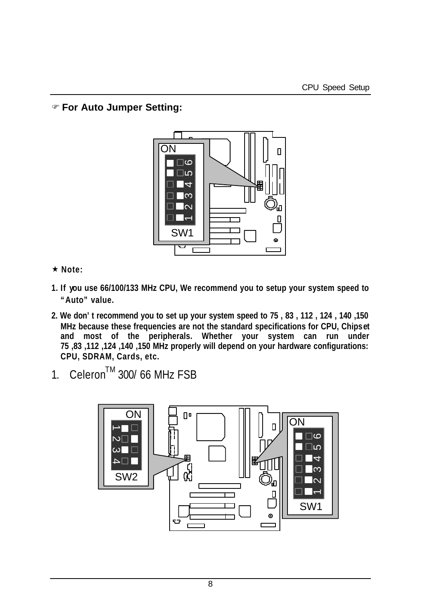F **For Auto Jumper Setting:**



- **★ Note:**
- **1. If you use 66/100/133 MHz CPU, We recommend you to setup your system speed to "Auto" value.**
- **2. We don't recommend you to set up your system speed to 75 , 83 , 112 , 124 , 140 ,150 MHz because these frequencies are not the standard specifications for CPU, Chipset and most of the peripherals. Whether your system can run under 75 ,83 ,112 ,124 ,140 ,150 MHz properly will depend on your hardware configurations: CPU, SDRAM, Cards, etc.**
- 1. Celeron<sup>TM</sup> 300/66 MHz FSB

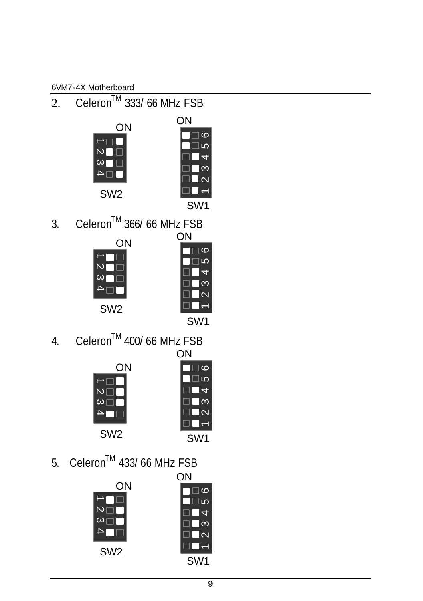2. Celeron<sup>TM</sup> 333/66 MHz FSB





3. Celeron<sup>TM</sup> 366/66 MHz FSB





4. Celeron<sup>™</sup> 400/ 66 MHz FSB



| ΟN  |  |                               |  |  |
|-----|--|-------------------------------|--|--|
|     |  | ဖ                             |  |  |
|     |  | ī۵                            |  |  |
|     |  | ≂                             |  |  |
|     |  | ო                             |  |  |
|     |  | $\overline{\mathsf{N}}$<br>L. |  |  |
|     |  |                               |  |  |
| SW1 |  |                               |  |  |

5. Celeron<sup>TM</sup> 433/66 MHz FSB

|                 | ΟN                      |
|-----------------|-------------------------|
| ΟN              | $\overline{6}$          |
|                 | lιo                     |
|                 | 4                       |
|                 | $\infty$                |
|                 | $\overline{\mathsf{N}}$ |
| SW <sub>2</sub> |                         |
|                 | SW <sub>1</sub>         |
|                 |                         |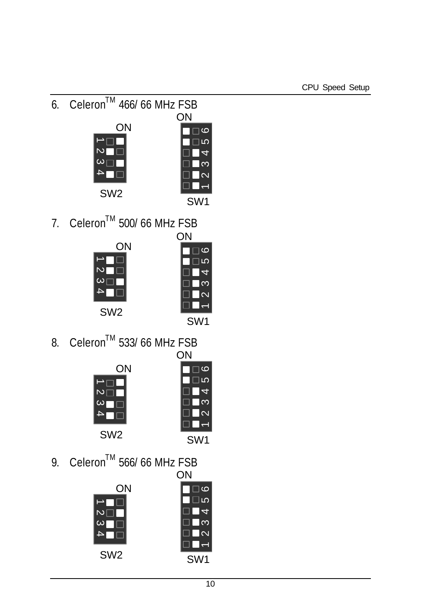6. Celeron<sup>TM</sup> 466/66 MHz FSB





7. Celeron<sup>™</sup> 500/ 66 MHz FSB  $\bigcap_{k=1}^{\infty}$ 



| ı<br>N |                         |   |
|--------|-------------------------|---|
|        | <u>ဖ</u>                |   |
|        | 5                       |   |
|        |                         | ī |
|        | က                       |   |
|        | $\overline{\mathsf{c}}$ |   |
|        |                         |   |
|        |                         |   |

8. Celeron<sup>™</sup> 533/ 66 MHz FSB ON



| UN |         |  |                         |  |
|----|---------|--|-------------------------|--|
|    |         |  | ဖ                       |  |
|    |         |  | LO                      |  |
|    |         |  | í                       |  |
|    |         |  | ო                       |  |
|    |         |  | $\overline{\mathsf{c}}$ |  |
|    |         |  |                         |  |
|    | ۷1<br>S |  |                         |  |

9. Celeron<sup>™</sup> 566/ 66 MHz FSB ON

|                 | UN                      |
|-----------------|-------------------------|
| ΟN              | $\circ$                 |
|                 | ∣ເດ                     |
|                 | 4                       |
|                 | က                       |
|                 | $\overline{\mathsf{N}}$ |
|                 |                         |
| SW <sub>2</sub> | SW <sub>1</sub>         |
|                 |                         |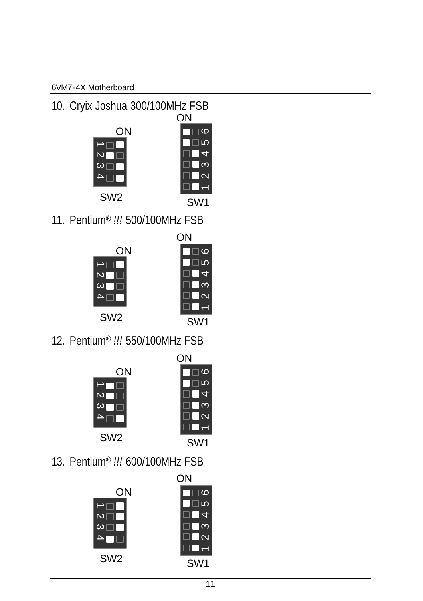10. Cryix Joshua 300/100MHz FSB





11. Pentium® *!!!* 500/100MHz FSB





12. Pentium® *!!!* 550/100MHz FSB





13. Pentium® *!!!* 600/100MHz FSB

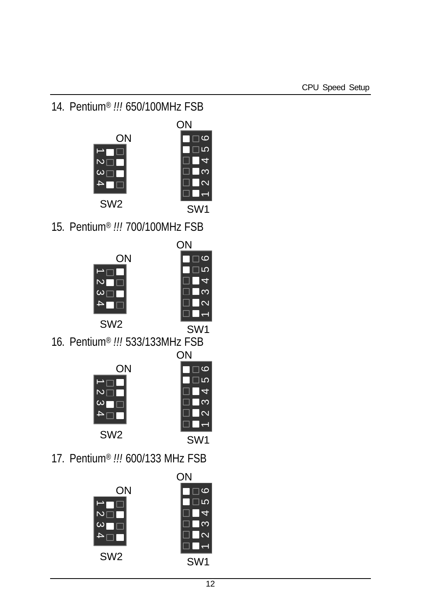14. Pentium® *!!!* 650/100MHz FSB





ON

15. Pentium® *!!!* 700/100MHz FSB





ON

SW1 16. Pentium® *!!!* 533/133MHz FSB





**ON** 

SW1

17. Pentium® *!!!* 600/133 MHz FSB

|                 | ΟN              |
|-----------------|-----------------|
| ΟN              | Ю               |
|                 | ഥ               |
| N               | Ş.              |
| ω               | ත               |
|                 | √               |
|                 |                 |
| SW <sub>2</sub> | SW <sub>1</sub> |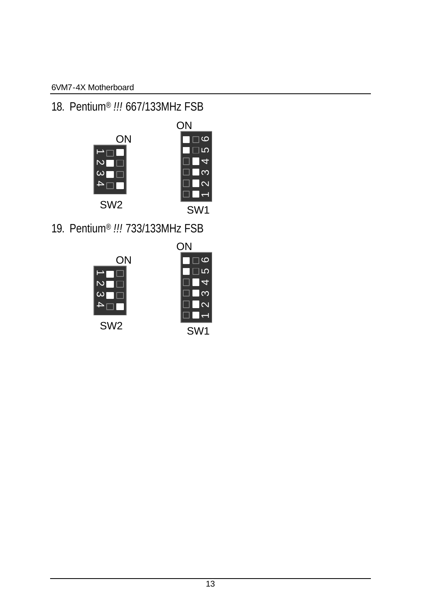# 18. Pentium® *!!!* 667/133MHz FSB



19. Pentium® *!!!* 733/133MHz FSB



| ΟN  |  |        |
|-----|--|--------|
|     |  | ဖ      |
|     |  | IΩ     |
|     |  |        |
|     |  | ო      |
|     |  | $\sim$ |
|     |  |        |
| SW1 |  |        |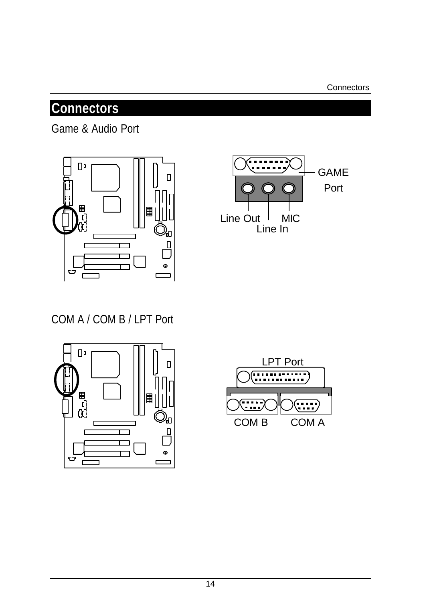# **Connectors**

Game & Audio Port





# COM A / COM B / LPT Port



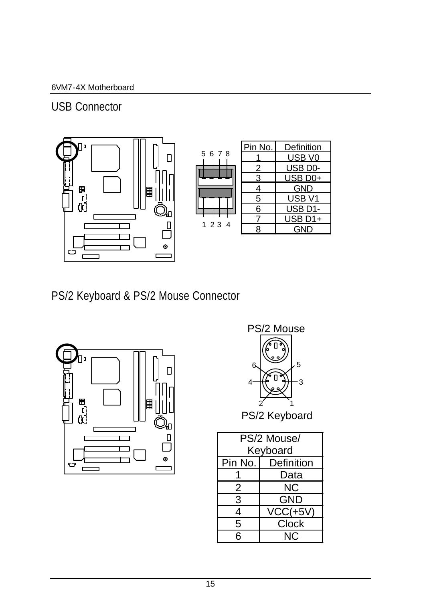USB Connector



| 5 | 6  | 8<br>7 |   |
|---|----|--------|---|
|   |    |        |   |
| 1 | 23 |        | 4 |

|      | Pin No. | Definition          |
|------|---------|---------------------|
| 5678 |         | USB V <sub>0</sub>  |
|      |         | USB <sub>D0</sub> - |
|      | 3       | USB D <sub>0+</sub> |
|      | 4       | <b>GND</b>          |
|      | 5       | USB <sub>V1</sub>   |
|      | 6       | USB D1-             |
| 1234 |         | USB D1+             |
|      | Я       | GND                 |

PS/2 Keyboard & PS/2 Mouse Connector





PS/2 Keyboard

| PS/2 Mouse/ |                      |  |
|-------------|----------------------|--|
| Keyboard    |                      |  |
|             | Pin No.   Definition |  |
|             | Data                 |  |
| 2           | ΝC                   |  |
| 3           | GND                  |  |
| 4           | $VCC(+5V)$           |  |
| 5           | <b>Clock</b>         |  |
| 6           | ΝC                   |  |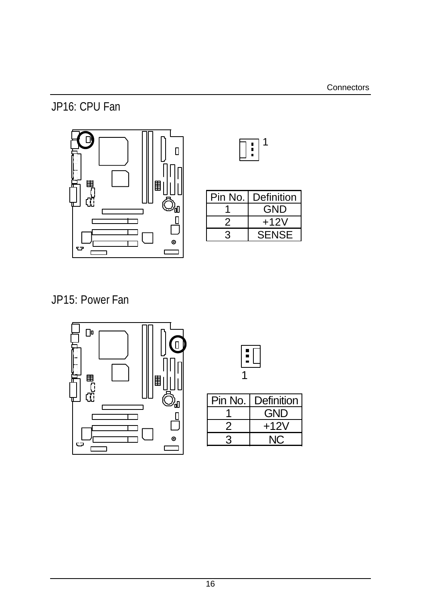# JP16: CPU Fan



| Pin No. | Definition |
|---------|------------|
|         | GND        |
|         | +12V       |
|         | SENSE      |

JP15: Power Fan





| Pin No. | Definition |
|---------|------------|
|         | GND        |
|         | $+12V$     |
|         |            |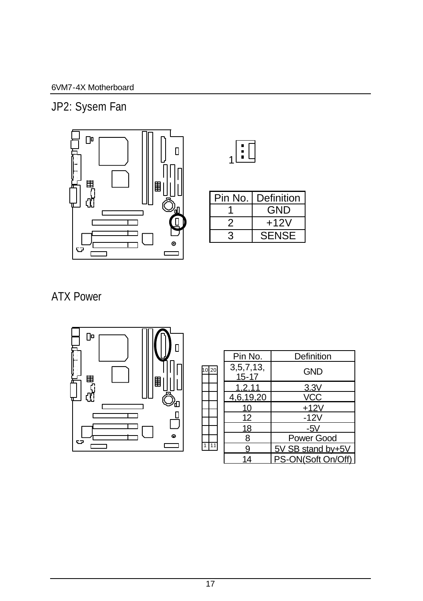JP2: Sysem Fan





| Pin No. | Definition   |
|---------|--------------|
|         | GND          |
|         | +12V         |
| 3       | <b>SENSE</b> |

# ATX Power



|          | Pin No.                   | Definition         |
|----------|---------------------------|--------------------|
| 10<br>20 | 3, 5, 7, 13,<br>$15 - 17$ | GND                |
|          | 1,2,11                    | 3.3V               |
|          | 4,6,19,20                 | <b>VCC</b>         |
|          | 10                        | $+12V$             |
|          | 12                        | $-12V$             |
|          | 18                        | -5V                |
|          | 8                         | Power Good         |
|          | 9                         | 5V SB stand by+5V  |
|          | 14                        | PS-ON(Soft On/Off) |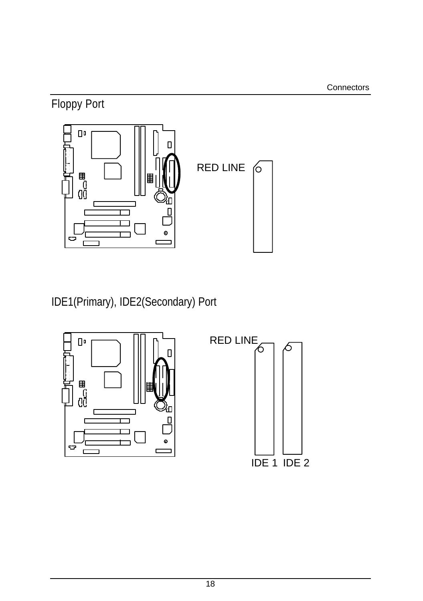Floppy Port



IDE1(Primary), IDE2(Secondary) Port



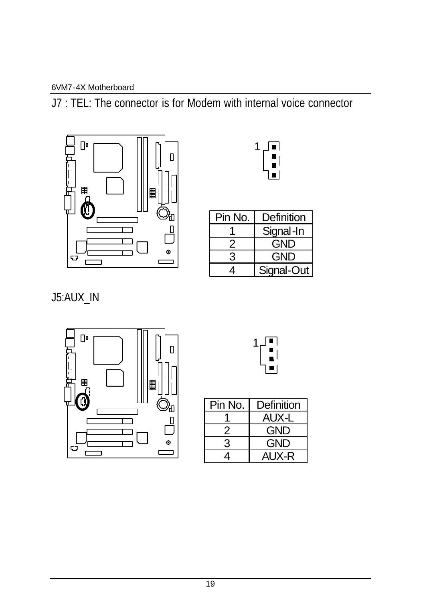J7 : TEL: The connector is for Modem with internal voice connector





| Pin No. | Definition |
|---------|------------|
|         | Signal-In  |
|         | GND        |
| 3       | GND        |
|         | Signal-Out |

J5:AUX\_IN





| Pin No.       | Definition |
|---------------|------------|
|               | AUX-L      |
|               | GND        |
| $\mathcal{R}$ | GND        |
| 4             | AUX-R      |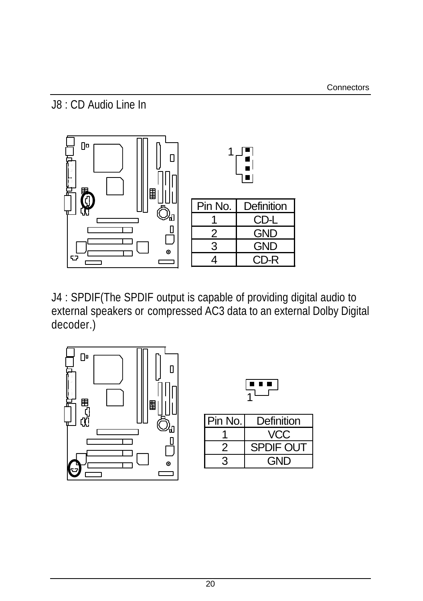J8 : CD Audio Line In



J4 : SPDIF(The SPDIF output is capable of providing digital audio to external speakers or compressed AC3 data to an external Dolby Digital decoder.)



| Pin No. | Definition |  |
|---------|------------|--|
|         | VCC        |  |
| 2       | SPDIF OUT  |  |
|         | GND        |  |

 $\sqrt{2}$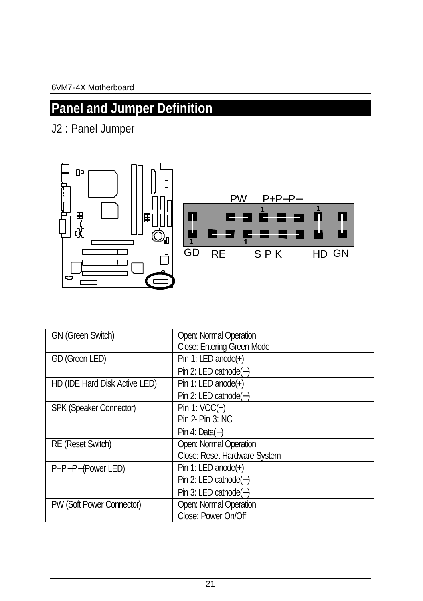# **Panel and Jumper Definition**

J2 : Panel Jumper



| GN (Green Switch)             | Open: Normal Operation       |  |  |
|-------------------------------|------------------------------|--|--|
|                               | Close: Entering Green Mode   |  |  |
| GD (Green LED)                | Pin 1: LED anode(+)          |  |  |
|                               | Pin 2: LED cathode(-)        |  |  |
| HD (IDE Hard Disk Active LED) | Pin 1: LED anode $(+)$       |  |  |
|                               | Pin 2: LED cathode(-)        |  |  |
| SPK (Speaker Connector)       | Pin 1: $VCC(+)$              |  |  |
|                               | Pin 2- Pin 3: NC             |  |  |
|                               | Pin 4: Data $(-)$            |  |  |
| RE (Reset Switch)             | Open: Normal Operation       |  |  |
|                               | Close: Reset Hardware System |  |  |
| P+P-P-(Power LED)             | Pin 1: LED anode $(+)$       |  |  |
|                               | Pin 2: LED cathode(-)        |  |  |
|                               | Pin 3: LED cathode(-)        |  |  |
| PW (Soft Power Connector)     | Open: Normal Operation       |  |  |
|                               | Close: Power On/Off          |  |  |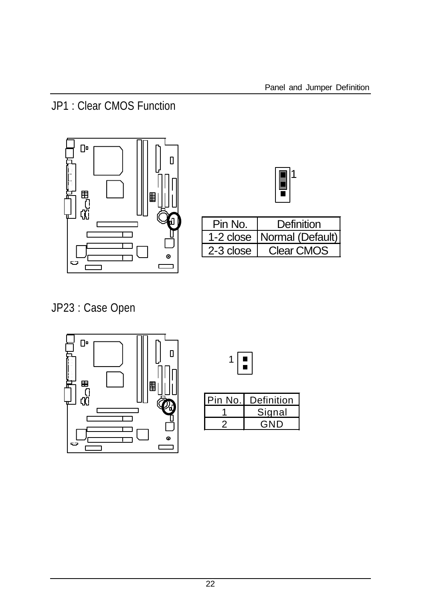JP1 : Clear CMOS Function



|--|

| Pin No.   | Definition                   |
|-----------|------------------------------|
|           | 1-2 close   Normal (Default) |
| 2-3 close | Clear CMOS                   |

JP23 : Case Open





| in No.l | Definition   |
|---------|--------------|
|         | Signal       |
|         | ND.<br>( – i |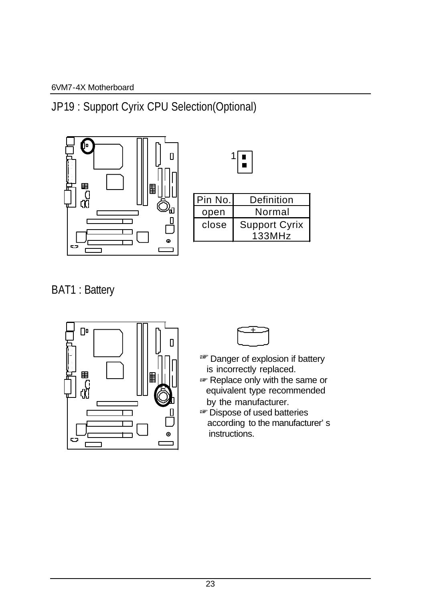JP19 : Support Cyrix CPU Selection(Optional)



| Pin No. | Definition                     |
|---------|--------------------------------|
| open    | Normal                         |
| close   | <b>Support Cyrix</b><br>133MHz |

 $\sqrt{2}$ 

BAT1 : Battery



- <sup>■</sup>Danger of explosion if battery is incorrectly replaced.
- Replace only with the same or equivalent type recommended by the manufacturer.
- $\overrightarrow{p}$  Dispose of used batteries according to the manufacturer's instructions.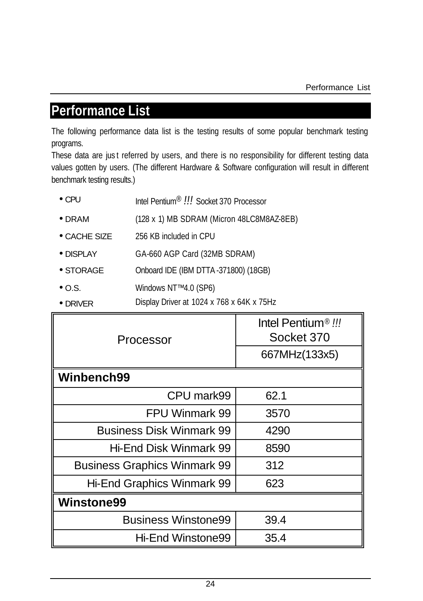# **Performance List**

The following performance data list is the testing results of some popular benchmark testing programs.

These data are just referred by users, and there is no responsibility for different testing data values gotten by users. (The different Hardware & Software configuration will result in different benchmark testing results.)

| $\bullet$ CPU | Intel Pentium <sup>®</sup> !!! Socket 370 Processor |
|---------------|-----------------------------------------------------|
|               |                                                     |

- DRAM (128 x 1) MB SDRAM (Micron 48LC8M8AZ-8EB)
- CACHE SIZE 256 KB included in CPU
- DISPLAY GA-660 AGP Card (32MB SDRAM)
- STORAGE Onboard IDE (IBM DTTA -371800) (18GB)
- O.S. Windows NT™ 4.0 (SP6)
- DRIVER Display Driver at 1024 x 768 x 64K x 75Hz

| Processor                           | Intel Pentium <sup>®</sup> !!!<br>Socket 370 |
|-------------------------------------|----------------------------------------------|
|                                     | 667MHz(133x5)                                |
| Winbench99                          |                                              |
| CPU mark99                          | 62.1                                         |
| FPU Winmark 99                      | 3570                                         |
| Business Disk Winmark 99            | 4290                                         |
| Hi-End Disk Winmark 99              | 8590                                         |
| <b>Business Graphics Winmark 99</b> | 312                                          |
| Hi-End Graphics Winmark 99          | 623                                          |
| <b>Winstone99</b>                   |                                              |
| <b>Business Winstone99</b>          | 39.4                                         |
| Hi-End Winstone99                   | 35.4                                         |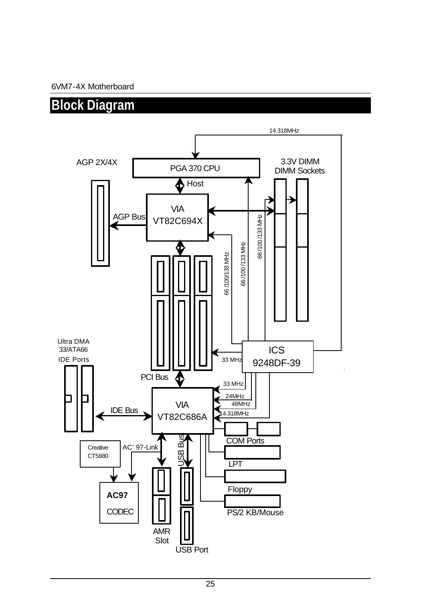# **Block Diagram**

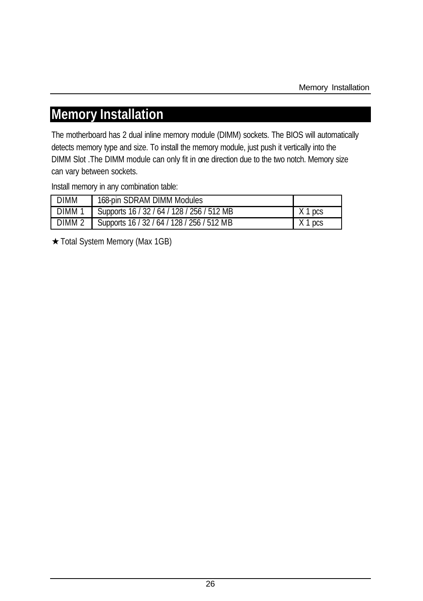# **Memory Installation**

The motherboard has 2 dual inline memory module (DIMM) sockets. The BIOS will automatically detects memory type and size. To install the memory module, just push it vertically into the DIMM Slot .The DIMM module can only fit in one direction due to the two notch. Memory size can vary between sockets.

Install memory in any combination table:

| <b>DIMM</b>       | 168-pin SDRAM DIMM Modules                 |           |
|-------------------|--------------------------------------------|-----------|
| DIMM <sub>1</sub> | Supports 16 / 32 / 64 / 128 / 256 / 512 MB | X 1 pcs   |
| DIMM <sub>2</sub> | Supports 16 / 32 / 64 / 128 / 256 / 512 MB | $X$ 1 pcs |

Total System Memory (Max 1GB)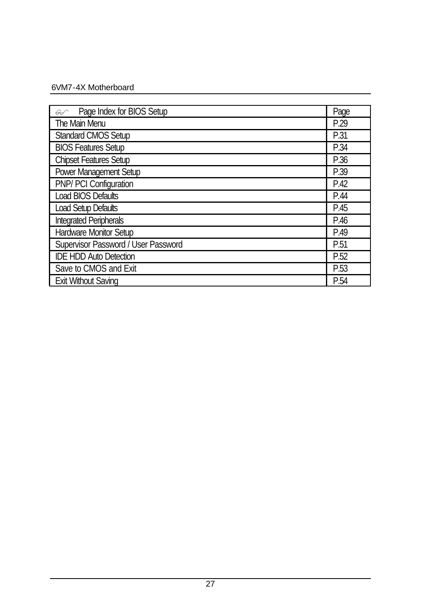| Page Index for BIOS Setup<br>$\curvearrowleft$ | Page |
|------------------------------------------------|------|
| The Main Menu                                  |      |
| <b>Standard CMOS Setup</b>                     | P.31 |
| <b>BIOS Features Setup</b>                     | P.34 |
| <b>Chipset Features Setup</b>                  | P.36 |
| Power Management Setup                         | P.39 |
| PNP/ PCI Configuration                         | P.42 |
| Load BIOS Defaults                             | P.44 |
| Load Setup Defaults                            | P.45 |
| <b>Integrated Peripherals</b>                  | P.46 |
| Hardware Monitor Setup                         | P.49 |
| Supervisor Password / User Password            | P.51 |
| <b>IDE HDD Auto Detection</b>                  | P.52 |
| Save to CMOS and Exit                          | P.53 |
| <b>Exit Without Saving</b>                     | P.54 |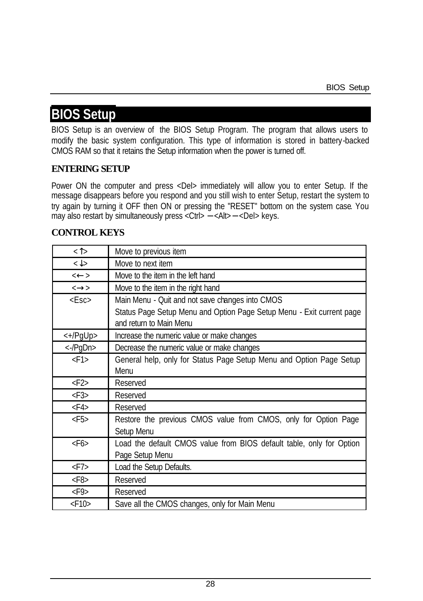# **BIOS Setup**

BIOS Setup is an overview of the BIOS Setup Program. The program that allows users to modify the basic system configuration. This type of information is stored in battery-backed CMOS RAM so that it retains the Setup information when the power is turned off.

#### **ENTERING SETUP**

Power ON the computer and press <Del> immediately will allow you to enter Setup. If the message disappears before you respond and you still wish to enter Setup, restart the system to try again by turning it OFF then ON or pressing the "RESET" bottom on the system case. You may also restart by simultaneously press <Ctrl> − <Alt>− <Del> keys.

#### **CONTROL KEYS**

| $\langle \uparrow \rangle$          | Move to previous item                                                 |
|-------------------------------------|-----------------------------------------------------------------------|
| $\langle \downarrow \rangle$        | Move to next item                                                     |
| $\leftarrow$                        | Move to the item in the left hand                                     |
| $\leftrightarrow$                   | Move to the item in the right hand                                    |
| $<$ Esc $>$                         | Main Menu - Quit and not save changes into CMOS                       |
|                                     | Status Page Setup Menu and Option Page Setup Menu - Exit current page |
|                                     | and return to Main Menu                                               |
| $\left\langle +/PqUp \right\rangle$ | Increase the numeric value or make changes                            |
| <-/PgDn>                            | Decrease the numeric value or make changes                            |
| $<$ F1>                             | General help, only for Status Page Setup Menu and Option Page Setup   |
|                                     | Menu                                                                  |
| $\langle$ F2>                       | Reserved                                                              |
| $\langle$ F3>                       | Reserved                                                              |
| $<$ F4>                             | Reserved                                                              |
| $<$ F5>                             | Restore the previous CMOS value from CMOS, only for Option Page       |
|                                     | Setup Menu                                                            |
| $<$ F6>                             | Load the default CMOS value from BIOS default table, only for Option  |
|                                     | Page Setup Menu                                                       |
| $<$ F7>                             | Load the Setup Defaults.                                              |
| $<$ F8>                             | Reserved                                                              |
| $\langle$ F9>                       | Reserved                                                              |
| $<$ F10 $>$                         | Save all the CMOS changes, only for Main Menu                         |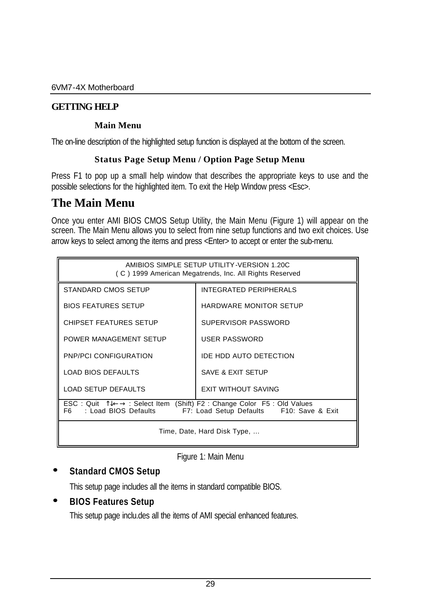#### **GETTING HELP**

#### **Main Menu**

The on-line description of the highlighted setup function is displayed at the bottom of the screen.

#### **Status Page Setup Menu / Option Page Setup Menu**

Press F1 to pop up a small help window that describes the appropriate keys to use and the possible selections for the highlighted item. To exit the Help Window press <Esc>.

# **The Main Menu**

Once you enter AMI BIOS CMOS Setup Utility, the Main Menu (Figure 1) will appear on the screen. The Main Menu allows you to select from nine setup functions and two exit choices. Use arrow keys to select among the items and press <Enter> to accept or enter the sub-menu.

| AMIBIOS SIMPLE SETUP UTILITY-VERSION 1.20C<br>(C) 1999 American Megatrends, Inc. All Rights Reserved                                                                |                               |  |
|---------------------------------------------------------------------------------------------------------------------------------------------------------------------|-------------------------------|--|
| STANDARD CMOS SETUP                                                                                                                                                 | INTEGRATED PERIPHERALS        |  |
| <b>BIOS FEATURES SETUP</b>                                                                                                                                          | <b>HARDWARE MONITOR SETUP</b> |  |
| <b>CHIPSET FEATURES SETUP</b>                                                                                                                                       | SUPERVISOR PASSWORD           |  |
| POWER MANAGEMENT SETUP                                                                                                                                              | <b>USER PASSWORD</b>          |  |
| <b>PNP/PCI CONFIGURATION</b>                                                                                                                                        | <b>IDE HDD AUTO DETECTION</b> |  |
| <b>LOAD BIOS DEFAULTS</b>                                                                                                                                           | SAVE & EXIT SETUP             |  |
| <b>LOAD SETUP DEFAULTS</b>                                                                                                                                          | <b>EXIT WITHOUT SAVING</b>    |  |
| ESC: Quit $\sqrt[n]{L}$ : Select Item (Shift) F2: Change Color F5: Old Values<br>F <sub>6</sub><br>: Load BIOS Defaults<br>F7: Load Setup Defaults F10: Save & Exit |                               |  |
| Time, Date, Hard Disk Type,                                                                                                                                         |                               |  |

Figure 1: Main Menu

#### **· Standard CMOS Setup**

This setup page includes all the items in standard compatible BIOS.

#### **· BIOS Features Setup**

This setup page inclu.des all the items of AMI special enhanced features.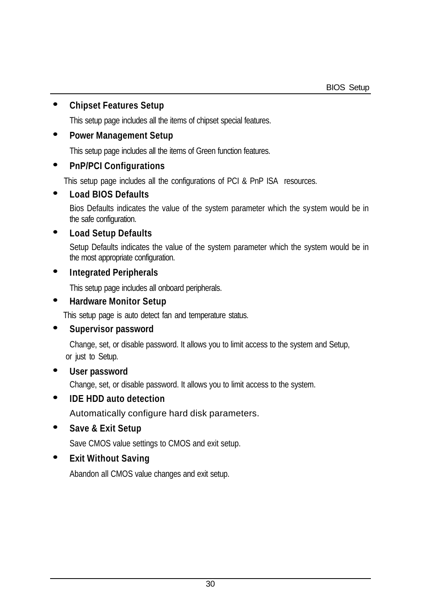#### **· Chipset Features Setup**

This setup page includes all the items of chipset special features.

#### **· Power Management Setup**

This setup page includes all the items of Green function features.

#### **· PnP/PCI Configurations**

This setup page includes all the configurations of PCI & PnP ISA resources.

#### **· Load BIOS Defaults**

Bios Defaults indicates the value of the system parameter which the system would be in the safe configuration.

#### **· Load Setup Defaults**

Setup Defaults indicates the value of the system parameter which the system would be in the most appropriate configuration.

#### **· Integrated Peripherals**

This setup page includes all onboard peripherals.

#### **· Hardware Monitor Setup**

This setup page is auto detect fan and temperature status.

#### **· Supervisor password**

 Change, set, or disable password. It allows you to limit access to the system and Setup, or just to Setup.

#### **· User password**

Change, set, or disable password. It allows you to limit access to the system.

#### **· IDE HDD auto detection**

Automatically configure hard disk parameters.

#### **· Save & Exit Setup**

Save CMOS value settings to CMOS and exit setup.

#### **· Exit Without Saving**

Abandon all CMOS value changes and exit setup.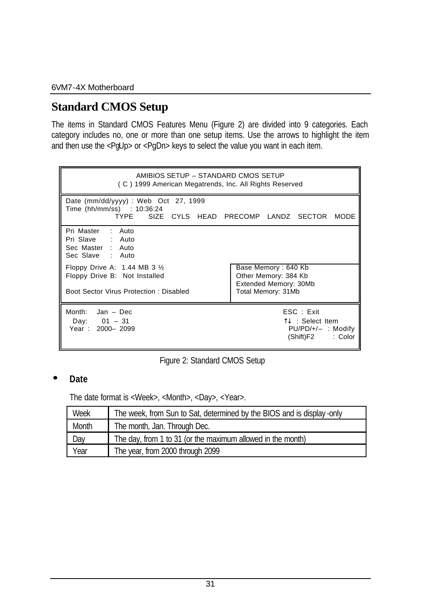# **Standard CMOS Setup**

The items in Standard CMOS Features Menu (Figure 2) are divided into 9 categories. Each category includes no, one or more than one setup items. Use the arrows to highlight the item and then use the <PgUp> or <PgDn> keys to select the value you want in each item.

| AMIBIOS SETUP - STANDARD CMOS SETUP<br>(C) 1999 American Megatrends, Inc. All Rights Reserved                        |                                                                                            |
|----------------------------------------------------------------------------------------------------------------------|--------------------------------------------------------------------------------------------|
| Date (mm/dd/yyyy) : Web Oct 27, 1999<br>Time (hh/mm/ss) : 10:36:24<br><b>TYPE</b>                                    | SIZE CYLS HEAD PRECOMP LANDZ SECTOR<br>MODE                                                |
| Pri Master : Auto<br>Pri Slave : Auto<br>Sec Master : Auto<br>Sec Slave : Auto                                       |                                                                                            |
| Floppy Drive A: $1.44$ MB 3 $\frac{1}{2}$<br>Floppy Drive B: Not Installed<br>Boot Sector Virus Protection: Disabled | Base Memory: 640 Kb<br>Other Memory: 384 Kb<br>Extended Memory: 30Mb<br>Total Memory: 31Mb |
| Month: $Jan - Dec$<br>Day: $01 - 31$<br>Year: 2000-2099                                                              | ESC: Exit<br>ୀ $↓$ :Select Item<br>$PU/PD/+/-$ : Modify<br>(Shift)F2<br>: Color            |



#### **· Date**

The date format is <Week>, <Month>, <Day>, <Year>.

| Week  | The week, from Sun to Sat, determined by the BIOS and is display-only |
|-------|-----------------------------------------------------------------------|
| Month | The month, Jan. Through Dec.                                          |
| Day   | The day, from 1 to 31 (or the maximum allowed in the month)           |
| Year  | The year, from 2000 through 2099                                      |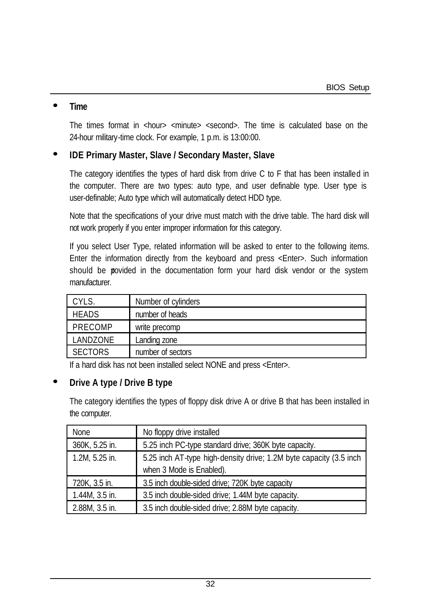#### **· Time**

The times format in  $\langle$ hour $\rangle$   $\langle$ minute $\rangle$   $\langle$ second $\rangle$ . The time is calculated base on the 24-hour military-time clock. For example, 1 p.m. is 13:00:00.

#### **· IDE Primary Master, Slave / Secondary Master, Slave**

The category identifies the types of hard disk from drive C to F that has been installed in the computer. There are two types: auto type, and user definable type. User type is user-definable; Auto type which will automatically detect HDD type.

Note that the specifications of your drive must match with the drive table. The hard disk will not work properly if you enter improper information for this category.

If you select User Type, related information will be asked to enter to the following items. Enter the information directly from the keyboard and press <Enter>. Such information should be povided in the documentation form your hard disk vendor or the system manufacturer

| CYLS.          | Number of cylinders |
|----------------|---------------------|
| <b>HEADS</b>   | number of heads     |
| PRECOMP        | write precomp       |
| LANDZONE       | Landing zone        |
| <b>SECTORS</b> | number of sectors   |

If a hard disk has not been installed select NONE and press <Enter>.

#### **· Drive A type / Drive B type**

The category identifies the types of floppy disk drive A or drive B that has been installed in the computer.

| <b>None</b>    | No floppy drive installed                                          |  |
|----------------|--------------------------------------------------------------------|--|
| 360K, 5.25 in. | 5.25 inch PC-type standard drive; 360K byte capacity.              |  |
| 1.2M, 5.25 in. | 5.25 inch AT-type high-density drive; 1.2M byte capacity (3.5 inch |  |
|                | when 3 Mode is Enabled).                                           |  |
| 720K, 3.5 in.  | 3.5 inch double-sided drive; 720K byte capacity                    |  |
| 1.44M, 3.5 in. | 3.5 inch double-sided drive; 1.44M byte capacity.                  |  |
| 2.88M, 3.5 in. | 3.5 inch double-sided drive; 2.88M byte capacity.                  |  |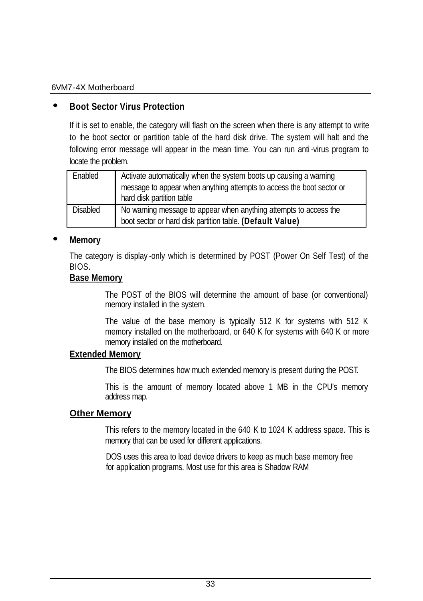#### **· Boot Sector Virus Protection**

If it is set to enable, the category will flash on the screen when there is any attempt to write to the boot sector or partition table of the hard disk drive. The system will halt and the following error message will appear in the mean time. You can run anti -virus program to locate the problem.

| Enabled  | Activate automatically when the system boots up causing a warning<br>message to appear when anything attempts to access the boot sector or<br>hard disk partition table |
|----------|-------------------------------------------------------------------------------------------------------------------------------------------------------------------------|
| Disabled | No warning message to appear when anything attempts to access the<br>boot sector or hard disk partition table. (Default Value)                                          |

#### **· Memory**

The category is display -only which is determined by POST (Power On Self Test) of the BIOS.

#### **Base Memory**

The POST of the BIOS will determine the amount of base (or conventional) memory installed in the system.

The value of the base memory is typically 512 K for systems with 512 K memory installed on the motherboard, or 640 K for systems with 640 K or more memory installed on the motherboard.

#### **Extended Memory**

The BIOS determines how much extended memory is present during the POST.

This is the amount of memory located above 1 MB in the CPU's memory address map.

#### **Other Memory**

This refers to the memory located in the 640 K to 1024 K address space. This is memory that can be used for different applications.

DOS uses this area to load device drivers to keep as much base memory free for application programs. Most use for this area is Shadow RAM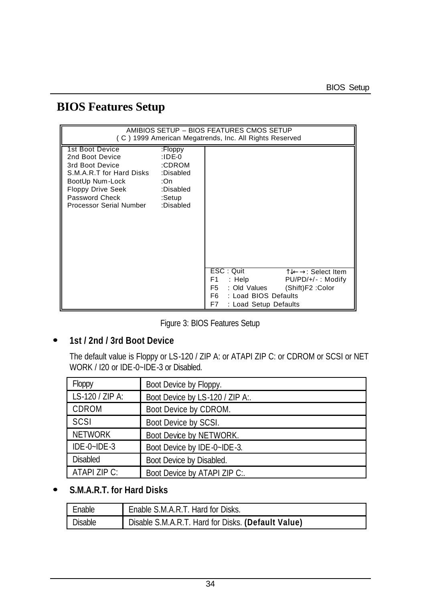# **BIOS Features Setup**

|                                                                                                                                                                                            |                                                           | AMIBIOS SETUP - BIOS FEATURES CMOS SETUP<br>(C) 1999 American Megatrends, Inc. All Rights Reserved                                                                                |
|--------------------------------------------------------------------------------------------------------------------------------------------------------------------------------------------|-----------------------------------------------------------|-----------------------------------------------------------------------------------------------------------------------------------------------------------------------------------|
| 1st Boot Device<br>2nd Boot Device<br>3rd Boot Device<br>S.M.A.R.T for Hard Disks :Disabled<br>BootUp Num-Lock<br>Floppy Drive Seek :Disabled<br>Password Check<br>Processor Serial Number | :Floppy<br>:IDE-0<br>:CDROM<br>:On<br>:Setup<br>:Disabled |                                                                                                                                                                                   |
|                                                                                                                                                                                            |                                                           | ESC: Quit<br>TJ←→: Select Item<br>$:$ Help<br>F1<br>$PU/PD/+/-$ : Modify<br>: Old Values<br>(Shift)F2: Color<br>F5.<br>: Load BIOS Defaults<br>F6.<br>F7<br>: Load Setup Defaults |

Figure 3: BIOS Features Setup

## **· 1st / 2nd / 3rd Boot Device**

The default value is Floppy or LS-120 / ZIP A: or ATAPI ZIP C: or CDROM or SCSI or NET WORK / I20 or IDE-0~IDE-3 or Disabled.

| Floppy          | Boot Device by Floppy.          |
|-----------------|---------------------------------|
| LS-120 / ZIP A: | Boot Device by LS-120 / ZIP A:. |
| CDROM           | Boot Device by CDROM.           |
| SCSI            | Boot Device by SCSI.            |
| <b>NETWORK</b>  | Boot Device by NETWORK.         |
| IDE-0~IDE-3     | Boot Device by IDE-0~IDE-3.     |
| <b>Disabled</b> | Boot Device by Disabled.        |
| ATAPI ZIP C:    | Boot Device by ATAPI ZIP C:.    |

# **· S.M.A.R.T. for Hard Disks**

| Enable  | Enable S.M.A.R.T. Hard for Disks.                  |
|---------|----------------------------------------------------|
| Disable | Disable S.M.A.R.T. Hard for Disks. (Default Value) |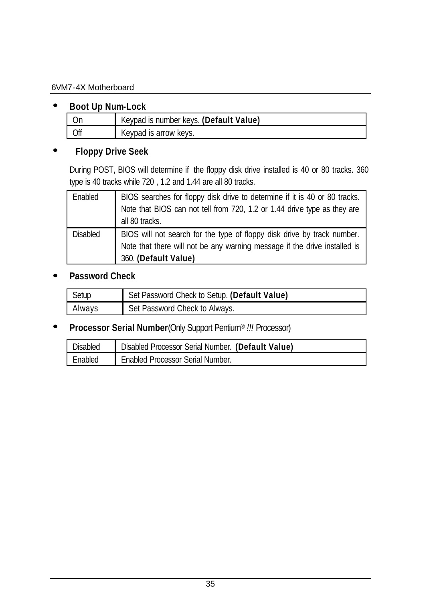#### **· Boot Up Num-Lock**

|     | Keypad is number keys. (Default Value) |
|-----|----------------------------------------|
| Off | Keypad is arrow keys.                  |

#### **· Floppy Drive Seek**

During POST, BIOS will determine if the floppy disk drive installed is 40 or 80 tracks. 360 type is 40 tracks while 720 , 1.2 and 1.44 are all 80 tracks.

| Enabled         | BIOS searches for floppy disk drive to determine if it is 40 or 80 tracks.<br>Note that BIOS can not tell from 720, 1.2 or 1.44 drive type as they are<br>all 80 tracks.     |
|-----------------|------------------------------------------------------------------------------------------------------------------------------------------------------------------------------|
| <b>Disabled</b> | BIOS will not search for the type of floppy disk drive by track number.<br>Note that there will not be any warning message if the drive installed is<br>360. (Default Value) |

#### **· Password Check**

| Setup  | Set Password Check to Setup. (Default Value) |
|--------|----------------------------------------------|
| Always | Set Password Check to Always.                |

# **· Processor Serial Number**(Only Support Pentium® *!!!* Processor)

| Disabled | Disabled Processor Serial Number. (Default Value) |
|----------|---------------------------------------------------|
| Enabled  | <b>Enabled Processor Serial Number.</b>           |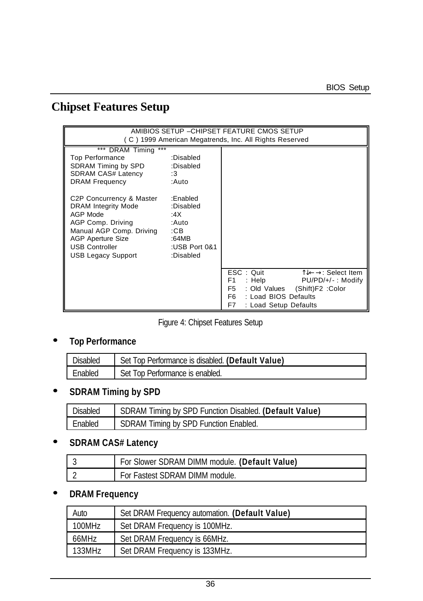# **Chipset Features Setup**

|                                                                                                                                                                                                                                                                                                                                                    |                                                                                                             | AMIBIOS SETUP - CHIPSET FEATURE CMOS SETUP<br>(C) 1999 American Megatrends, Inc. All Rights Reserved                                                                                           |
|----------------------------------------------------------------------------------------------------------------------------------------------------------------------------------------------------------------------------------------------------------------------------------------------------------------------------------------------------|-------------------------------------------------------------------------------------------------------------|------------------------------------------------------------------------------------------------------------------------------------------------------------------------------------------------|
| DRAM Timing ***<br>$***$<br><b>Top Performance</b><br>SDRAM Timing by SPD :Disabled<br>SDRAM CAS# Latency<br>$\cdot$ :3<br><b>DRAM Frequency</b><br>C2P Concurrency & Master<br><b>DRAM Integrity Mode</b><br>AGP Mode<br>AGP Comp. Driving<br>Manual AGP Comp. Driving<br><b>AGP Aperture Size</b><br><b>USB Controller</b><br>USB Legacy Support | :Disabled<br>:Auto<br>:Enabled<br>:Disabled<br>:4X<br>∴Auto<br>:CB<br>$-64MB$<br>:USB Port 0&1<br>:Disabled |                                                                                                                                                                                                |
|                                                                                                                                                                                                                                                                                                                                                    |                                                                                                             | ESC: Quit<br>ीर←→: Select Item<br>F1.<br>$PU/PD/+/-$ : Modify<br>: Help $\blacksquare$<br>: Old Values (Shift) F2 : Color<br>F5.<br>F6.<br>: Load BIOS Defaults<br>F7<br>: Load Setup Defaults |

Figure 4: Chipset Features Setup

# **· Top Performance**

| Disabled | Set Top Performance is disabled. (Default Value) |
|----------|--------------------------------------------------|
| Enabled  | Set Top Performance is enabled.                  |

# **· SDRAM Timing by SPD**

| Disabled | SDRAM Timing by SPD Function Disabled. (Default Value) |
|----------|--------------------------------------------------------|
| Fnabled  | SDRAM Timing by SPD Function Enabled.                  |

#### **· SDRAM CAS# Latency**

| For Slower SDRAM DIMM module. (Default Value) |
|-----------------------------------------------|
| For Fastest SDRAM DIMM module.                |

# **· DRAM Frequency**

| Auto   | Set DRAM Frequency automation. (Default Value) |
|--------|------------------------------------------------|
| 100MHz | Set DRAM Frequency is 100MHz.                  |
| 66MHz  | Set DRAM Frequency is 66MHz.                   |
| 133MHz | Set DRAM Frequency is 133MHz.                  |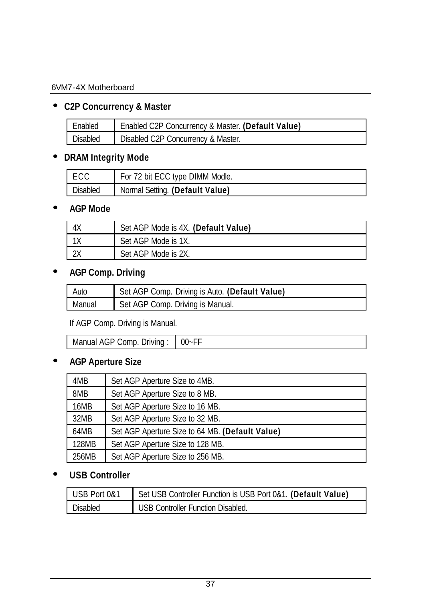# **· C2P Concurrency & Master**

| Fnabled  | Enabled C2P Concurrency & Master. (Default Value) |
|----------|---------------------------------------------------|
| Disabled | Disabled C2P Concurrency & Master.                |

# **· DRAM Integrity Mode**

| I ECC    | For 72 bit ECC type DIMM Modle. |
|----------|---------------------------------|
| Disabled | Normal Setting. (Default Value) |

## **· AGP Mode**

| Set AGP Mode is 4X. (Default Value) |
|-------------------------------------|
| Set AGP Mode is 1X.                 |
| Set AGP Mode is 2X.                 |

# **· AGP Comp. Driving**

| Auto   | Set AGP Comp. Driving is Auto. (Default Value) |
|--------|------------------------------------------------|
| Manual | Set AGP Comp. Driving is Manual.               |

#### If AGP Comp. Driving is Manual.

| $\mathbf{a}$<br>Jrivina<br>anual.<br>omn<br>∕ ہ<br>imai<br>$\sim$ | $ -$<br>J.<br>л. |
|-------------------------------------------------------------------|------------------|
|                                                                   |                  |

# **· AGP Aperture Size**

| 4MB   | Set AGP Aperture Size to 4MB.                   |
|-------|-------------------------------------------------|
| 8MB   | Set AGP Aperture Size to 8 MB.                  |
| 16MB  | Set AGP Aperture Size to 16 MB.                 |
| 32MB  | Set AGP Aperture Size to 32 MB.                 |
| 64MB  | Set AGP Aperture Size to 64 MB. (Default Value) |
| 128MB | Set AGP Aperture Size to 128 MB.                |
| 256MB | Set AGP Aperture Size to 256 MB.                |

# **· USB Controller**

| USB Port 0&1    | Set USB Controller Function is USB Port 0&1. (Default Value) |
|-----------------|--------------------------------------------------------------|
| <b>Disabled</b> | USB Controller Function Disabled.                            |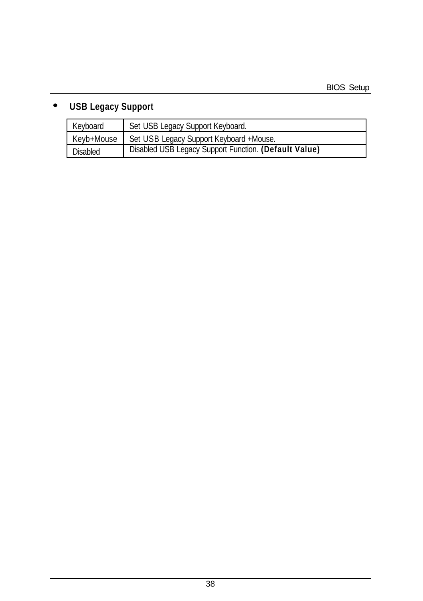# **· USB Legacy Support**

| Keyboard   | Set USB Legacy Support Keyboard.                      |
|------------|-------------------------------------------------------|
| Keyb+Mouse | Set USB Legacy Support Keyboard +Mouse.               |
| Disabled   | Disabled USB Legacy Support Function. (Default Value) |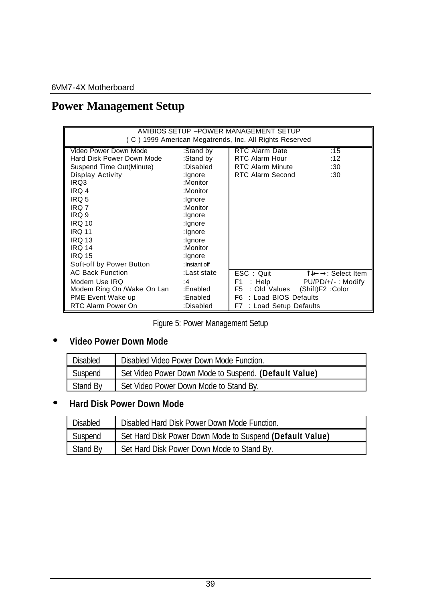# **Power Management Setup**

| AMIBIOS SETUP - POWER MANAGEMENT SETUP<br>(C) 1999 American Megatrends, Inc. All Rights Reserved                                                                                                                                                                |                                                                                                                                                                                    |                                                                                                                |                                                                |
|-----------------------------------------------------------------------------------------------------------------------------------------------------------------------------------------------------------------------------------------------------------------|------------------------------------------------------------------------------------------------------------------------------------------------------------------------------------|----------------------------------------------------------------------------------------------------------------|----------------------------------------------------------------|
| Video Power Down Mode<br>Hard Disk Power Down Mode<br>Suspend Time Out(Minute)<br>Display Activity<br>IRQ3<br>IRQ 4<br>IRQ 5<br>IRQ 7<br>IRQ 9<br><b>IRQ 10</b><br><b>IRO 11</b><br><b>IRQ 13</b><br><b>IRQ 14</b><br><b>IRO 15</b><br>Soft-off by Power Button | :Stand by<br>:Stand by<br>:Disabled<br>:lgnore<br>:Monitor<br>:Monitor<br>:Ignore<br>:Monitor<br>:lgnore<br>:Ignore<br>: Ignore<br>:Ignore<br>:Monitor<br>:lgnore<br>: Instant off | RTC Alarm Date<br>RTC Alarm Hour<br><b>RTC Alarm Minute</b><br>RTC Alarm Second                                | :15<br>:12<br>:30<br>:30                                       |
| <b>AC Back Function</b><br>Modem Use IRQ<br>Modem Ring On /Wake On Lan<br>PME Event Wake up<br>RTC Alarm Power On                                                                                                                                               | :Last state<br>:4<br>:Enabled<br>:Enabled<br>:Disabled                                                                                                                             | ESC: Quit<br>$:$ Help<br>F1<br>: Old Values<br>F5<br>: Load BIOS Defaults<br>F6<br>: Load Setup Defaults<br>F7 | TJ←→: Select Item<br>$PU/PD/+/-$ : Modify<br>(Shift)F2 : Color |

Figure 5: Power Management Setup

**· Video Power Down Mode**

| Disabled | Disabled Video Power Down Mode Function.              |
|----------|-------------------------------------------------------|
| Suspend  | Set Video Power Down Mode to Suspend. (Default Value) |
| Stand By | Set Video Power Down Mode to Stand By.                |

# **· Hard Disk Power Down Mode**

| Disabled | Disabled Hard Disk Power Down Mode Function.             |
|----------|----------------------------------------------------------|
| Suspend  | Set Hard Disk Power Down Mode to Suspend (Default Value) |
| Stand By | Set Hard Disk Power Down Mode to Stand By.               |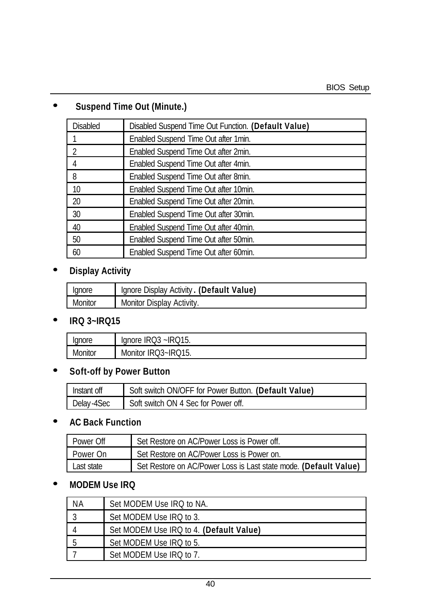# **· Suspend Time Out (Minute.)**

| <b>Disabled</b> | Disabled Suspend Time Out Function. (Default Value) |
|-----------------|-----------------------------------------------------|
|                 | Enabled Suspend Time Out after 1min.                |
| 2               | Enabled Suspend Time Out after 2min.                |
| 4               | Enabled Suspend Time Out after 4min.                |
| 8               | Enabled Suspend Time Out after 8min.                |
| 10              | Enabled Suspend Time Out after 10min.               |
| 20              | Enabled Suspend Time Out after 20min.               |
| 30              | Enabled Suspend Time Out after 30min.               |
| 40              | Enabled Suspend Time Out after 40min.               |
| 50              | Enabled Suspend Time Out after 50min.               |
| 60              | Enabled Suspend Time Out after 60min.               |

# **· Display Activity**

| lanore  | Ignore Display Activity. (Default Value) |
|---------|------------------------------------------|
| Monitor | Monitor Display Activity.                |

## **· IRQ 3~IRQ15**

| lanore<br>Юľ | $-1$<br>`∩r≙ .<br>н<br>ᆔᆔ<br>и<br>ູ.<br>ັ<br>שו<br>שו |
|--------------|-------------------------------------------------------|
| Monitor      | 11 15<br>।?~IR(<br>IK (<br>Monitor<br>1 J .<br>. J    |

## **· Soft-off by Power Button**

| Instant off | Soft switch ON/OFF for Power Button. (Default Value) |
|-------------|------------------------------------------------------|
| Delav-4Sec  | Soft switch ON 4 Sec for Power off.                  |

# **· AC Back Function**

| Power Off  | Set Restore on AC/Power Loss is Power off.                       |
|------------|------------------------------------------------------------------|
| Power On   | Set Restore on AC/Power Loss is Power on.                        |
| Last state | Set Restore on AC/Power Loss is Last state mode. (Default Value) |

## **· MODEM Use IRQ**

| ΝA | Set MODEM Use IRQ to NA.                |
|----|-----------------------------------------|
|    | Set MODEM Use IRQ to 3.                 |
|    | Set MODEM Use IRQ to 4. (Default Value) |
|    | Set MODEM Use IRQ to 5.                 |
|    | Set MODEM Use IRQ to 7.                 |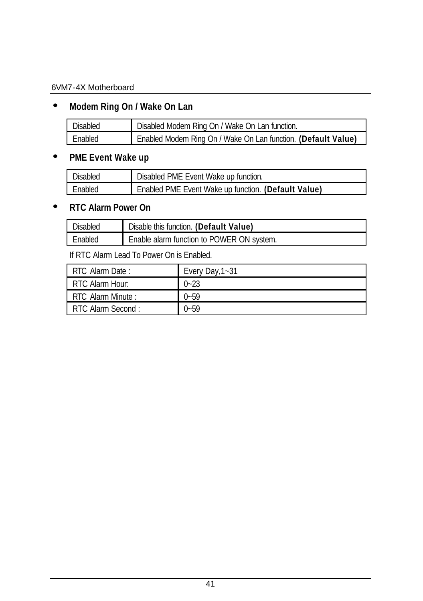# **· Modem Ring On / Wake On Lan**

| Disabled | Disabled Modem Ring On / Wake On Lan function.                |
|----------|---------------------------------------------------------------|
| Fnahled  | Enabled Modem Ring On / Wake On Lan function. (Default Value) |

## **· PME Event Wake up**

| <b>Disabled</b> | Disabled PME Event Wake up function.                |
|-----------------|-----------------------------------------------------|
| Enabled         | Enabled PME Event Wake up function. (Default Value) |

# **· RTC Alarm Power On**

| <b>Disabled</b> | Disable this function. (Default Value)    |
|-----------------|-------------------------------------------|
| Fnabled         | Enable alarm function to POWER ON system. |

If RTC Alarm Lead To Power On is Enabled.

| RTC Alarm Date:   | Every Day, 1~31 |
|-------------------|-----------------|
| RTC Alarm Hour:   | $0 - 23$        |
| RTC Alarm Minute: | $0 - 59$        |
| RTC Alarm Second: | $0 - 59$        |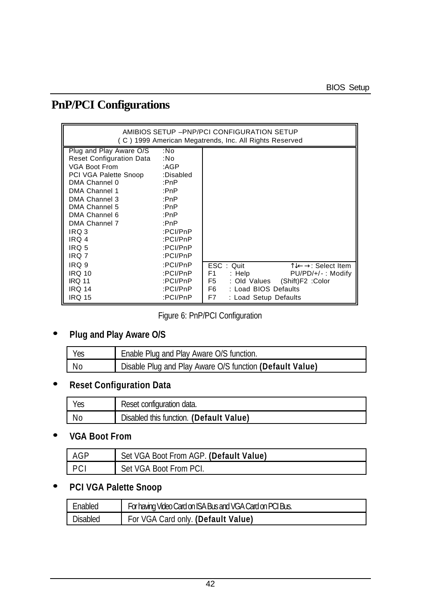# **PnP/PCI Configurations**

| AMIBIOS SETUP - PNP/PCI CONFIGURATION SETUP<br>(C) 1999 American Megatrends, Inc. All Rights Reserved                                                                                                                                          |                                                                                                                                 |                                                                                                                                                                                        |
|------------------------------------------------------------------------------------------------------------------------------------------------------------------------------------------------------------------------------------------------|---------------------------------------------------------------------------------------------------------------------------------|----------------------------------------------------------------------------------------------------------------------------------------------------------------------------------------|
| Plug and Play Aware O/S<br><b>Reset Configuration Data</b><br>VGA Boot From<br>PCI VGA Palette Snoop<br>DMA Channel 0<br>DMA Channel 1<br>DMA Channel 3<br>DMA Channel 5<br>DMA Channel 6<br>DMA Channel 7<br>IRQ 3<br>IRQ 4<br>IRQ 5<br>IRQ 7 | :No<br>:No<br>:AGP<br>:Disabled<br>:PnP<br>:PnP<br>:PnP<br>:PnP<br>:PnP<br>:PnP<br>:PCI/PnP<br>:PCI/PnP<br>:PCI/PnP<br>:PCI/PnP |                                                                                                                                                                                        |
| IRQ 9<br><b>IRQ 10</b><br><b>IRQ 11</b><br><b>IRQ 14</b><br><b>IRQ 15</b>                                                                                                                                                                      | :PCI/PnP<br>:PCI/PnP<br>:PCI/PnP<br>:PCI/PnP<br>:PCI/PnP                                                                        | ESC: Quit<br>TJ←→: Select Item<br>F <sub>1</sub><br>: Help<br>PU/PD/+/-: Modify<br>F5<br>: Old Values (Shift)F2 : Color<br>F6 F<br>: Load BIOS Defaults<br>F7<br>: Load Setup Defaults |

Figure 6: PnP/PCI Configuration

# **· Plug and Play Aware O/S**

| Yes | Enable Plug and Play Aware O/S function.                 |
|-----|----------------------------------------------------------|
| No  | Disable Plug and Play Aware O/S function (Default Value) |

# **· Reset Configuration Data**

| Yes | Reset configuration data.               |
|-----|-----------------------------------------|
| No  | Disabled this function. (Default Value) |

# **· VGA Boot From**

| - AGP               | Set VGA Boot From AGP. (Default Value) |
|---------------------|----------------------------------------|
| $\Gamma$ D $\Gamma$ | Set VGA Boot From PCI.                 |

# **· PCI VGA Palette Snoop**

| <b>Fnahled</b> | For having Video Card on ISA Bus and VGA Card on PCI Bus. |
|----------------|-----------------------------------------------------------|
| Disabled       | For VGA Card only. (Default Value)                        |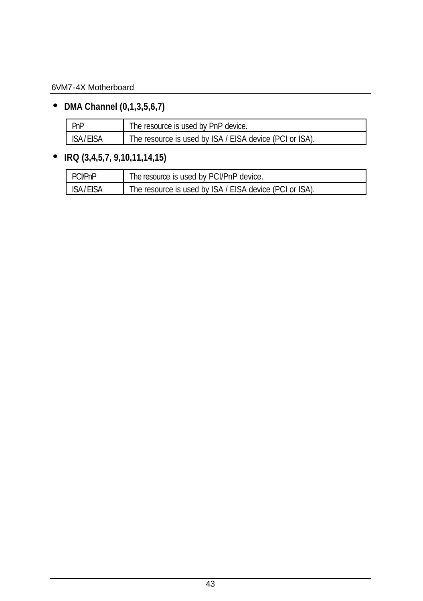**· DMA Channel (0,1,3,5,6,7)**

| l PnP           | The resource is used by PnP device.                     |
|-----------------|---------------------------------------------------------|
| <b>ISA/EISA</b> | The resource is used by ISA / EISA device (PCI or ISA). |

# **· IRQ (3,4,5,7, 9,10,11,14,15)**

| PCI/PnP    | The resource is used by PCI/PnP device.                 |
|------------|---------------------------------------------------------|
| ISA / FISA | The resource is used by ISA / EISA device (PCI or ISA). |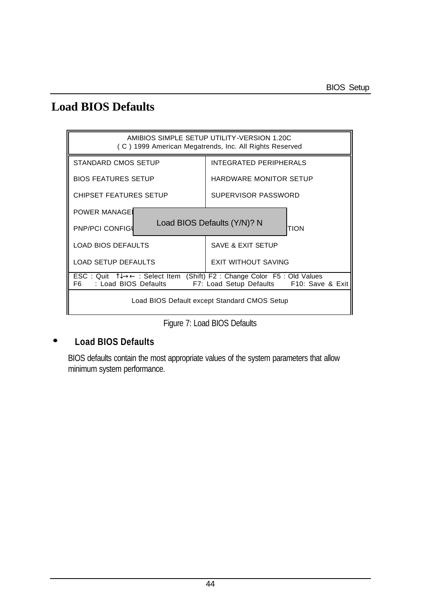# **Load BIOS Defaults**



Figure 7: Load BIOS Defaults

#### **· Load BIOS Defaults**

BIOS defaults contain the most appropriate values of the system parameters that allow minimum system performance.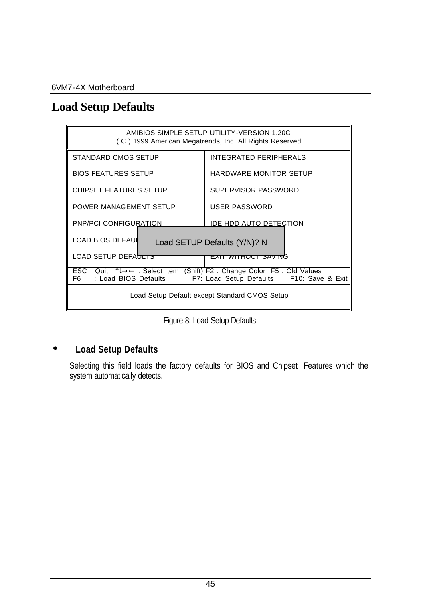# **Load Setup Defaults**



Figure 8: Load Setup Defaults

### **· Load Setup Defaults**

Selecting this field loads the factory defaults for BIOS and Chipset Features which the system automatically detects.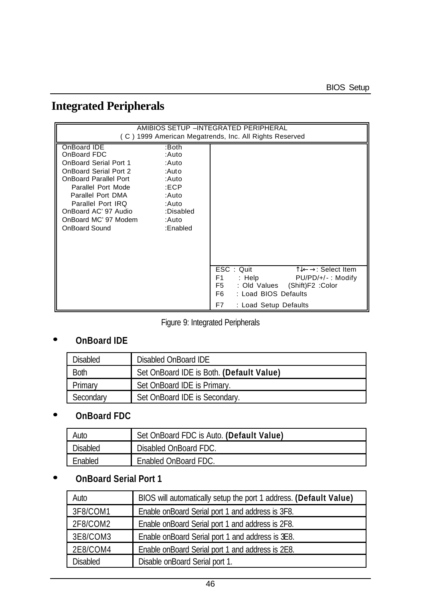# **Integrated Peripherals**

|                                                                                                                                                                                                                                                                                                                               |                       | AMIBIOS SETUP -INTEGRATED PERIPHERAL<br>(C) 1999 American Megatrends, Inc. All Rights Reserved                                                                                                                          |
|-------------------------------------------------------------------------------------------------------------------------------------------------------------------------------------------------------------------------------------------------------------------------------------------------------------------------------|-----------------------|-------------------------------------------------------------------------------------------------------------------------------------------------------------------------------------------------------------------------|
| OnBoard IDE<br>:Both<br>OnBoard FDC<br>:Auto<br><b>OnBoard Serial Port 1</b><br>:Auto<br>OnBoard Serial Port 2<br>:Auto<br>OnBoard Parallel Port<br>:Auto<br>Parallel Port Mode<br>:ECP<br>Parallel Port DMA<br>:Auto<br>Parallel Port IRQ<br>∴Auto<br>OnBoard AC' 97 Audio<br>OnBoard MC' 97 Modem<br>:Auto<br>OnBoard Sound | :Disabled<br>:Enabled |                                                                                                                                                                                                                         |
|                                                                                                                                                                                                                                                                                                                               |                       | ESC: Quit<br>$\uparrow \downarrow \leftarrow \rightarrow$ : Select Item<br>F1<br>: Help<br>$PU/PD/+/-$ : Modify<br>F5<br>(Shift)F2 : Color<br>: Old Values<br>F6<br>: Load BIOS Defaults<br>F7<br>: Load Setup Defaults |

Figure 9: Integrated Peripherals

## **· OnBoard IDE**

| Disabled    | Disabled OnBoard IDE                     |
|-------------|------------------------------------------|
| <b>Both</b> | Set OnBoard IDE is Both. (Default Value) |
| Primary     | Set OnBoard IDE is Primary.              |
| Secondary   | Set OnBoard IDE is Secondary.            |

# **· OnBoard FDC**

| Auto     | Set OnBoard FDC is Auto. (Default Value) |
|----------|------------------------------------------|
| Disabled | Disabled OnBoard FDC.                    |
| Fnabled  | Enabled OnBoard FDC.                     |

# **· OnBoard Serial Port 1**

| Auto     | BIOS will automatically setup the port 1 address. (Default Value) |
|----------|-------------------------------------------------------------------|
| 3F8/COM1 | Enable on Board Serial port 1 and address is 3F8.                 |
| 2F8/COM2 | Enable on Board Serial port 1 and address is 2F8.                 |
| 3E8/COM3 | Enable on Board Serial port 1 and address is 3E8.                 |
| 2E8/COM4 | Enable on Board Serial port 1 and address is 2E8.                 |
| Disabled | Disable onBoard Serial port 1.                                    |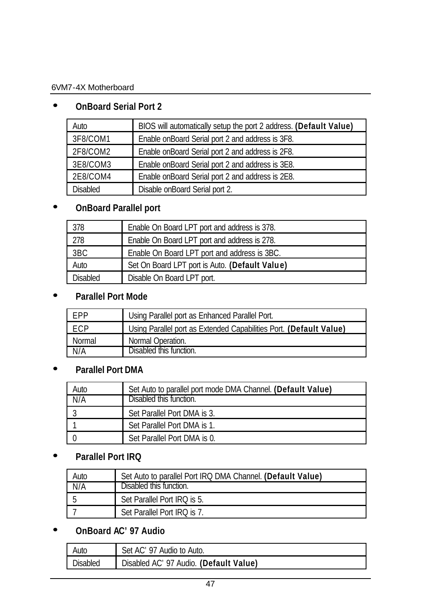# **· OnBoard Serial Port 2**

| Auto     | BIOS will automatically setup the port 2 address. (Default Value) |
|----------|-------------------------------------------------------------------|
| 3F8/COM1 | Enable onBoard Serial port 2 and address is 3F8.                  |
| 2F8/COM2 | Enable onBoard Serial port 2 and address is 2F8.                  |
| 3E8/COM3 | Enable on Board Serial port 2 and address is 3E8.                 |
| 2E8/COM4 | Enable on Board Serial port 2 and address is 2E8.                 |
| Disabled | Disable onBoard Serial port 2.                                    |

# **· OnBoard Parallel port**

| 378      | Enable On Board LPT port and address is 378.   |
|----------|------------------------------------------------|
| 278      | Enable On Board LPT port and address is 278.   |
| 3BC      | Enable On Board LPT port and address is 3BC.   |
| Auto     | Set On Board LPT port is Auto. (Default Value) |
| Disabled | Disable On Board LPT port.                     |

# **· Parallel Port Mode**

| <b>FPP</b> | Using Parallel port as Enhanced Parallel Port.                     |
|------------|--------------------------------------------------------------------|
| ECP        | Using Parallel port as Extended Capabilities Port. (Default Value) |
| Normal     | Normal Operation.                                                  |
| N/A        | Disabled this function.                                            |

## **· Parallel Port DMA**

| Auto | Set Auto to parallel port mode DMA Channel. (Default Value) |
|------|-------------------------------------------------------------|
| N/A  | Disabled this function.                                     |
|      | Set Parallel Port DMA is 3.                                 |
|      | Set Parallel Port DMA is 1.                                 |
|      | Set Parallel Port DMA is 0.                                 |

# **· Parallel Port IRQ**

| Auto | Set Auto to parallel Port IRQ DMA Channel. (Default Value) |
|------|------------------------------------------------------------|
| N/A  | Disabled this function.                                    |
|      | Set Parallel Port IRQ is 5.                                |
|      | Set Parallel Port IRQ is 7.                                |

# **· OnBoard AC'97 Audio**

| Auto            | Set AC' 97 Audio to Auto.              |
|-----------------|----------------------------------------|
| <b>Disabled</b> | Disabled AC' 97 Audio. (Default Value) |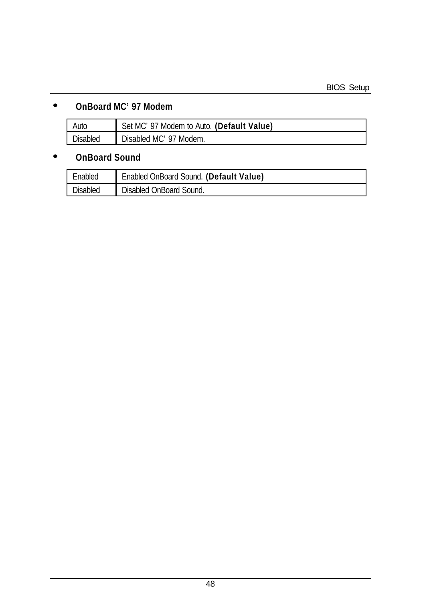## **· OnBoard MC'97 Modem**

| Auto     | Set MC' 97 Modem to Auto. (Default Value) |
|----------|-------------------------------------------|
| Disabled | Disabled MC' 97 Modem.                    |

## **· OnBoard Sound**

| Enabled         | Enabled OnBoard Sound. (Default Value) |
|-----------------|----------------------------------------|
| <b>Disabled</b> | Disabled OnBoard Sound.                |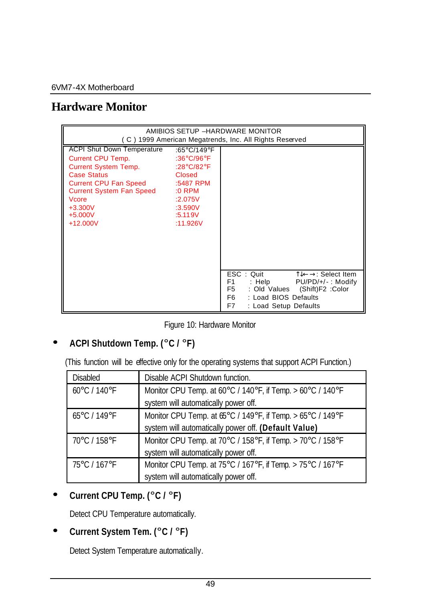# **Hardware Monitor**

| AMIBIOS SETUP -HARDWARE MONITOR<br>(C) 1999 American Megatrends, Inc. All Rights Reserved                                                                                                                                                     |                                                                                                                         |                                                                                                                                                                                              |
|-----------------------------------------------------------------------------------------------------------------------------------------------------------------------------------------------------------------------------------------------|-------------------------------------------------------------------------------------------------------------------------|----------------------------------------------------------------------------------------------------------------------------------------------------------------------------------------------|
| <b>ACPI Shut Down Temperature</b><br><b>Current CPU Temp.</b><br><b>Current System Temp.</b><br><b>Case Status</b><br><b>Current CPU Fan Speed</b><br><b>Current System Fan Speed</b><br><b>Vcore</b><br>$+3.300V$<br>$+5.000V$<br>$+12.000V$ | :65°C/149°F<br>:36°C/96°F<br>:28°C/82°F<br>Closed<br>:5487 RPM<br>$:0$ RPM<br>:2.075V<br>:3.590V<br>:5.119V<br>:11.926V |                                                                                                                                                                                              |
|                                                                                                                                                                                                                                               |                                                                                                                         | ESC: Quit<br>TJ←→: Select Item<br>F1.<br>$:$ Help<br>$PU/PD/+/-$ : Modify<br>F <sub>5</sub><br>: Old Values (Shift)F2 : Color<br>F6 F<br>: Load BIOS Defaults<br>F7<br>: Load Setup Defaults |

Figure 10: Hardware Monitor

### **· ACPI Shutdown Temp. (°C / °F)**

(This function will be effective only for the operating systems that support ACPI Function.)

| <b>Disabled</b> | Disable ACPI Shutdown function.                            |
|-----------------|------------------------------------------------------------|
| 60°C / 140°F    | Monitor CPU Temp. at 60°C / 140°F, if Temp. > 60°C / 140°F |
|                 | system will automatically power off.                       |
| 65°C / 149°F    | Monitor CPU Temp. at 65°C / 149°F, if Temp. > 65°C / 149°F |
|                 | system will automatically power off. (Default Value)       |
| 70°C / 158°F    | Monitor CPU Temp. at 70°C / 158°F, if Temp. > 70°C / 158°F |
|                 | system will automatically power off.                       |
| 75°C / 167°F    | Monitor CPU Temp. at 75°C / 167°F, if Temp. > 75°C / 167°F |
|                 | system will automatically power off.                       |

## **· Current CPU Temp. (°C / °F)**

Detect CPU Temperature automatically.

## **· Current System Tem. (°C / °F)**

Detect System Temperature automatically.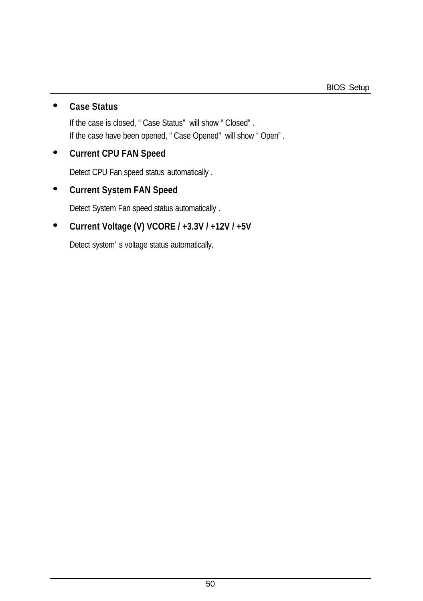# **· Case Status**

If the case is closed, "Case Status" will show "Closed". If the case have been opened, "Case Opened" will show "Open".

#### **· Current CPU FAN Speed**

Detect CPU Fan speed status automatically .

### **· Current System FAN Speed**

Detect System Fan speed status automatically .

## **· Current Voltage (V) VCORE / +3.3V / +12V / +5V**

Detect system's voltage status automatically.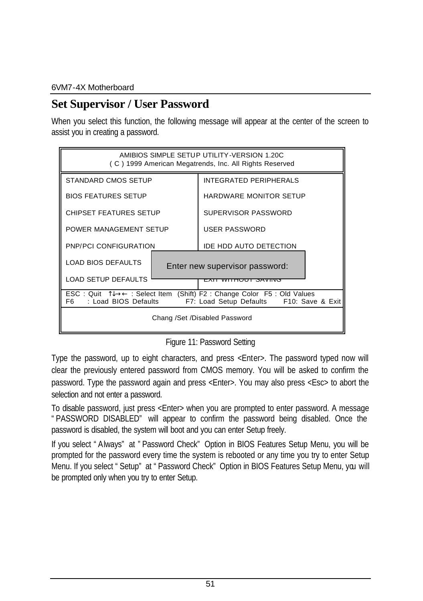# **Set Supervisor / User Password**

When you select this function, the following message will appear at the center of the screen to assist you in creating a password.



Figure 11: Password Setting

Type the password, up to eight characters, and press <Enter>. The password typed now will clear the previously entered password from CMOS memory. You will be asked to confirm the password. Type the password again and press <Enter>. You may also press <Esc> to abort the selection and not enter a password.

To disable password, just press <Enter> when you are prompted to enter password. A message "PASSWORD DISABLED" will appear to confirm the password being disabled. Once the password is disabled, the system will boot and you can enter Setup freely.

If you select "Always" at "Password Check" Option in BIOS Features Setup Menu, you will be prompted for the password every time the system is rebooted or any time you try to enter Setup Menu. If you select "Setup" at "Password Check" Option in BIOS Features Setup Menu, you will be prompted only when you try to enter Setup.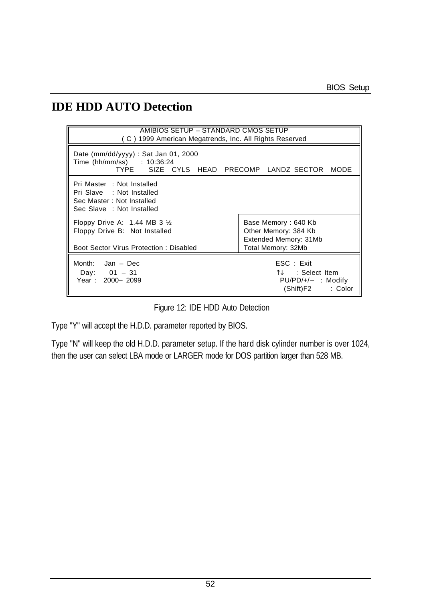# **IDE HDD AUTO Detection**

| AMIBIOS SETUP – STANDARD CMOS SETUP<br>(C) 1999 American Megatrends, Inc. All Rights Reserved                        |                                                                                            |  |  |  |
|----------------------------------------------------------------------------------------------------------------------|--------------------------------------------------------------------------------------------|--|--|--|
| Date ( $mm/dd/yyyy$ ) : Sat Jan 01, 2000<br>Time (hh/mm/ss) : 10:36:24<br>TYPE SIZE CYLS HEAD PRECOMP LANDZ SECTOR   | MODE                                                                                       |  |  |  |
| Pri Master : Not Installed<br>Pri Slave : Not Installed<br>Sec Master: Not Installed<br>Sec Slave : Not Installed    |                                                                                            |  |  |  |
| Floppy Drive A: $1.44$ MB 3 $\frac{1}{2}$<br>Floppy Drive B: Not Installed<br>Boot Sector Virus Protection: Disabled | Base Memory: 640 Kb<br>Other Memory: 384 Kb<br>Extended Memory: 31Mb<br>Total Memory: 32Mb |  |  |  |
| Month: Jan - Dec<br>Day: $01 - 31$<br>Year: 2000-2099                                                                | ESC : Exist<br>ी↓ : Select Item<br>$PU/PD/+/-$ : Modify<br>(Shift)F2<br>: Color            |  |  |  |

Figure 12: IDE HDD Auto Detection

Type "Y" will accept the H.D.D. parameter reported by BIOS.

Type "N" will keep the old H.D.D. parameter setup. If the hard disk cylinder number is over 1024, then the user can select LBA mode or LARGER mode for DOS partition larger than 528 MB.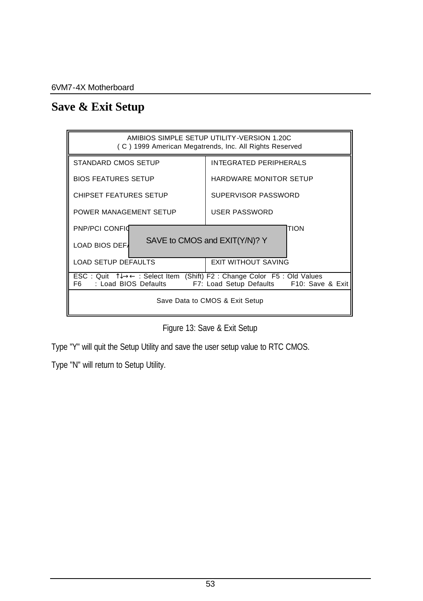# **Save & Exit Setup**



Figure 13: Save & Exit Setup

Type "Y" will quit the Setup Utility and save the user setup value to RTC CMOS.

Type "N" will return to Setup Utility.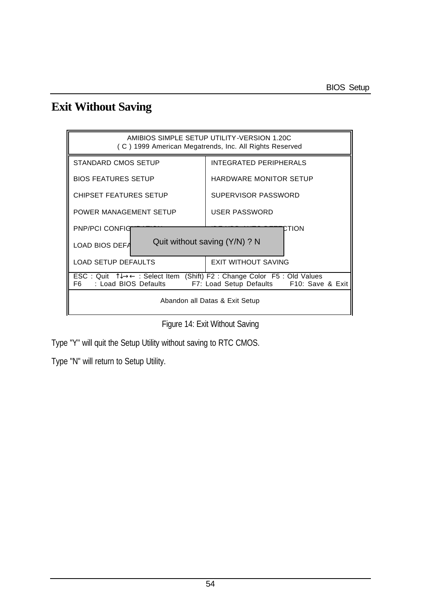# **Exit Without Saving**



| Figure 14: Exit Without Saving |
|--------------------------------|
|--------------------------------|

Type "Y" will quit the Setup Utility without saving to RTC CMOS.

Type "N" will return to Setup Utility.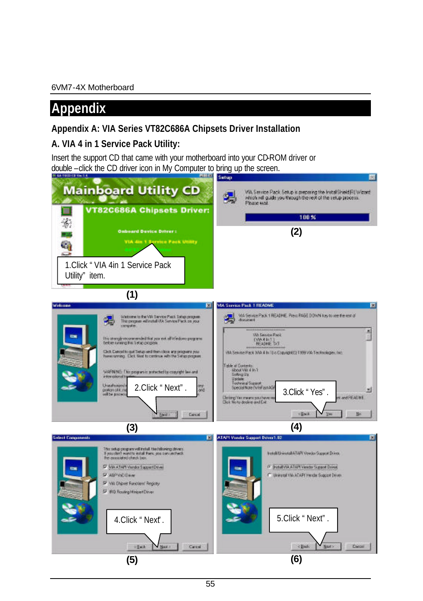# **Appendix**

## **Appendix A: VIA Series VT82C686A Chipsets Driver Installation**

## **A. VIA 4 in 1 Service Pack Utility:**

Insert the support CD that came with your motherboard into your CD-ROM driver or double –click the CD driver icon in My Computer to bring up the screen.

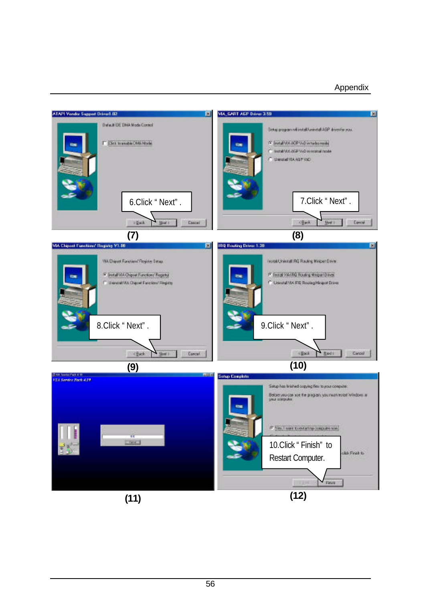#### Appendix

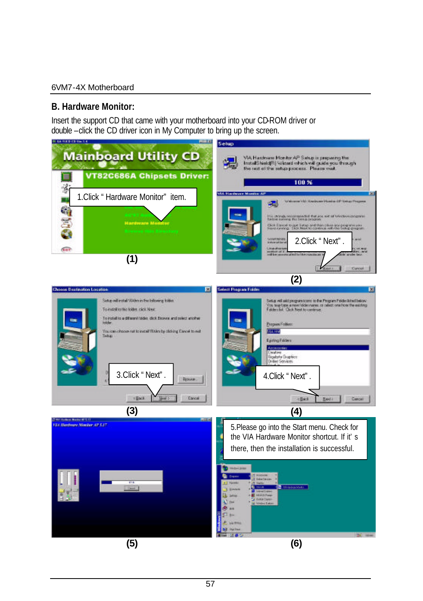#### **B. Hardware Monitor:**

Insert the support CD that came with your motherboard into your CD-ROM driver or double –click the CD driver icon in My Computer to bring up the screen.

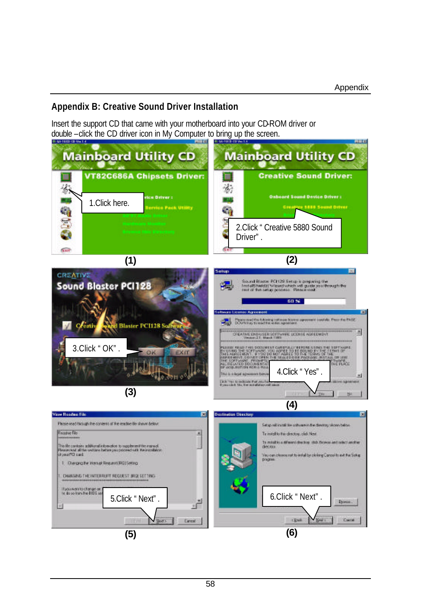#### **Appendix B: Creative Sound Driver Installation**

Insert the support CD that came with your motherboard into your CD-ROM driver or double –click the CD driver icon in My Computer to bring up the screen.

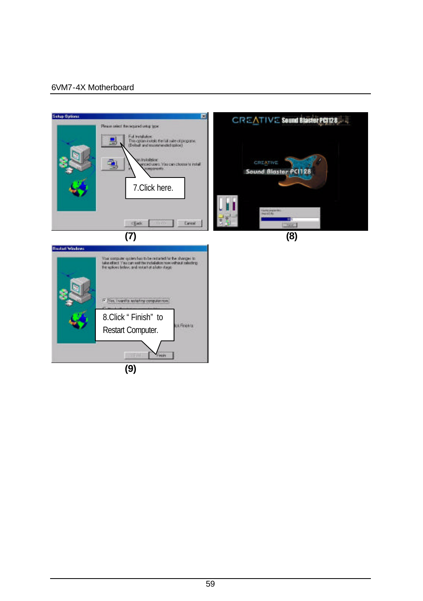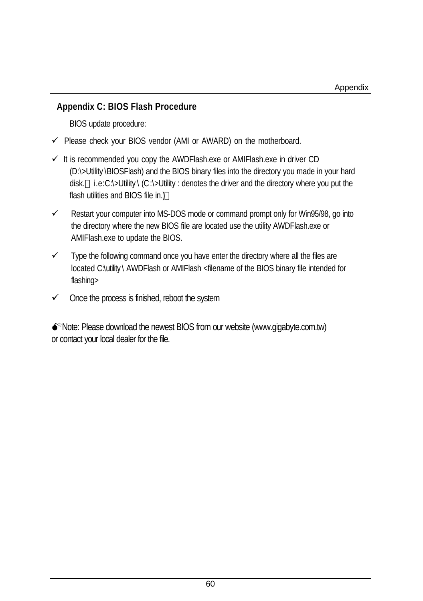#### **Appendix C: BIOS Flash Procedure**

BIOS update procedure:

- $\checkmark$  Please check your BIOS vendor (AMI or AWARD) on the motherboard.
- $\checkmark$  It is recommended you copy the AWDFlash.exe or AMIFlash.exe in driver CD (D:\>Utility \BIOSFlash) and the BIOS binary files into the directory you made in your hard disk. i.e:C:\>Utility \ (C:\>Utility : denotes the driver and the directory where you put the flash utilities and BIOS file in.)
- $\checkmark$  Restart your computer into MS-DOS mode or command prompt only for Win95/98, go into the directory where the new BIOS file are located use the utility AWDFlash.exe or AMIFlash.exe to update the BIOS.
- $\checkmark$  Type the following command once you have enter the directory where all the files are located C:\utility \ AWDFlash or AMIFlash <filename of the BIOS binary file intended for flashing>
- $\checkmark$  Once the process is finished, reboot the system

 $\bullet$ <sup>\*</sup>Note: Please download the newest BIOS from our website (www.gigabyte.com.tw) or contact your local dealer for the file.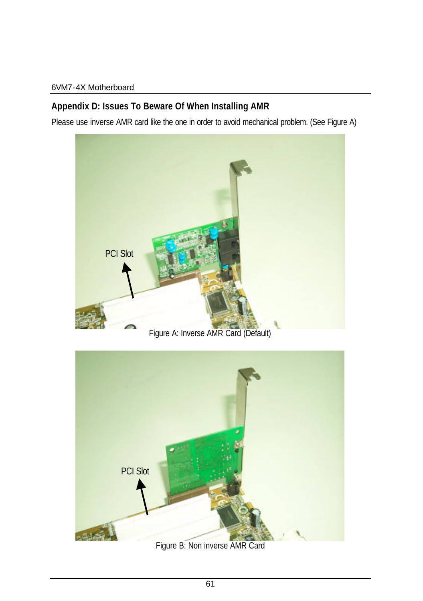# **Appendix D: Issues To Beware Of When Installing AMR**

Please use inverse AMR card like the one in order to avoid mechanical problem. (See Figure A)



PCI Slot $-64$ 

Figure B: Non inverse AMR Card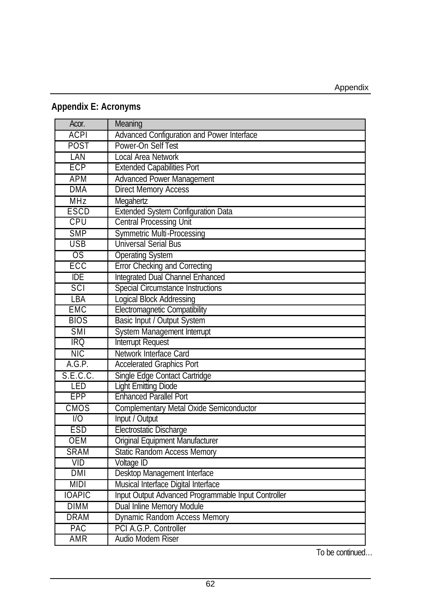# **Appendix E: Acronyms**

| Acor.            | Meaning                                             |
|------------------|-----------------------------------------------------|
| <b>ACPI</b>      | Advanced Configuration and Power Interface          |
| POST             | Power-On Self Test                                  |
| LAN              | Local Area Network                                  |
| <b>ECP</b>       | <b>Extended Capabilities Port</b>                   |
| <b>APM</b>       | <b>Advanced Power Management</b>                    |
| <b>DMA</b>       | <b>Direct Memory Access</b>                         |
| <b>MHz</b>       | Megahertz                                           |
| ESCD             | Extended System Configuration Data                  |
| CPU              | <b>Central Processing Unit</b>                      |
| <b>SMP</b>       | <b>Symmetric Multi-Processing</b>                   |
| <b>USB</b>       | <b>Universal Serial Bus</b>                         |
| OS               | <b>Operating System</b>                             |
| ECC              | <b>Error Checking and Correcting</b>                |
| $\overline{IDE}$ | Integrated Dual Channel Enhanced                    |
| SCI              | <b>Special Circumstance Instructions</b>            |
| <b>LBA</b>       | Logical Block Addressing                            |
| <b>EMC</b>       | Electromagnetic Compatibility                       |
| <b>BIOS</b>      | Basic Input / Output System                         |
| <b>SMI</b>       | System Management Interrupt                         |
| IRO              | Interrupt Request                                   |
| NIC              | Network Interface Card                              |
| A.G.P.           | <b>Accelerated Graphics Port</b>                    |
| S.E.C.C.         | Single Edge Contact Cartridge                       |
| LED              | <b>Light Emitting Diode</b>                         |
| EPP              | <b>Enhanced Parallel Port</b>                       |
| <b>CMOS</b>      | Complementary Metal Oxide Semiconductor             |
| $\overline{1}$   | Input / Output                                      |
| ESD              | Electrostatic Discharge                             |
| <b>OEM</b>       | Original Equipment Manufacturer                     |
| <b>SRAM</b>      | <b>Static Random Access Memory</b>                  |
| <b>VID</b>       | Voltage ID                                          |
| DMI              | Desktop Management Interface                        |
| <b>MIDI</b>      | Musical Interface Digital Interface                 |
| <b>IOAPIC</b>    | Input Output Advanced Programmable Input Controller |
| <b>DIMM</b>      | Dual Inline Memory Module                           |
| <b>DRAM</b>      | Dynamic Random Access Memory                        |
| PAC              | PCI A.G.P. Controller                               |
| AMR              | Audio Modem Riser                                   |

To be continued…